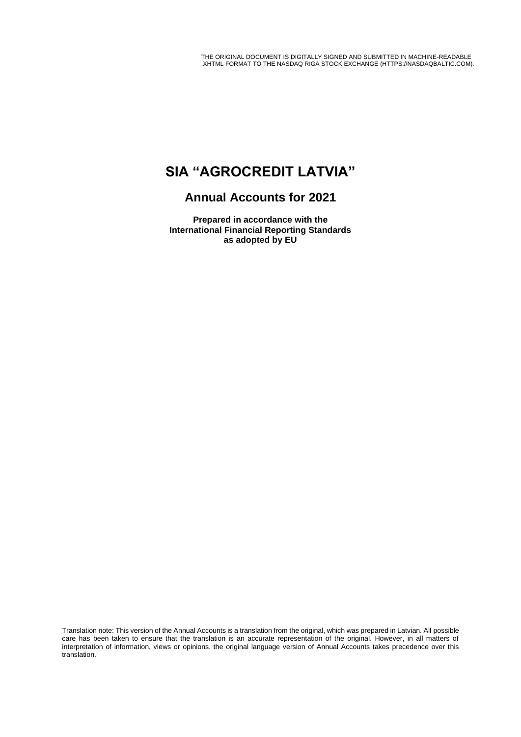THE ORIGINAL DOCUMENT IS DIGITALLY SIGNED AND SUBMITTED IN MACHINE-READABLE .XHTML FORMAT TO THE NASDAQ RIGA STOCK EXCHANGE (HTTPS://NASDAQBALTIC.COM).

# **SIA "AGROCREDIT LATVIA"**

# **Annual Accounts for 2021**

**Prepared in accordance with the International Financial Reporting Standards as adopted by EU**

Translation note: This version of the Annual Accounts is a translation from the original, which was prepared in Latvian. All possible care has been taken to ensure that the translation is an accurate representation of the original. However, in all matters of interpretation of information, views or opinions, the original language version of Annual Accounts takes precedence over this translation.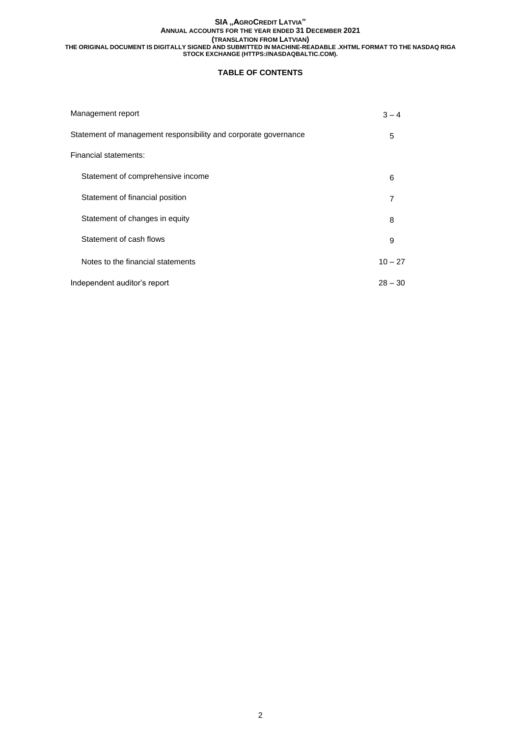## **TABLE OF CONTENTS**

| Management report                                               | $3 - 4$   |
|-----------------------------------------------------------------|-----------|
| Statement of management responsibility and corporate governance | 5         |
| Financial statements:                                           |           |
| Statement of comprehensive income                               | 6         |
| Statement of financial position                                 | 7         |
| Statement of changes in equity                                  | 8         |
| Statement of cash flows                                         | 9         |
| Notes to the financial statements                               | $10 - 27$ |
| Independent auditor's report                                    | $28 - 30$ |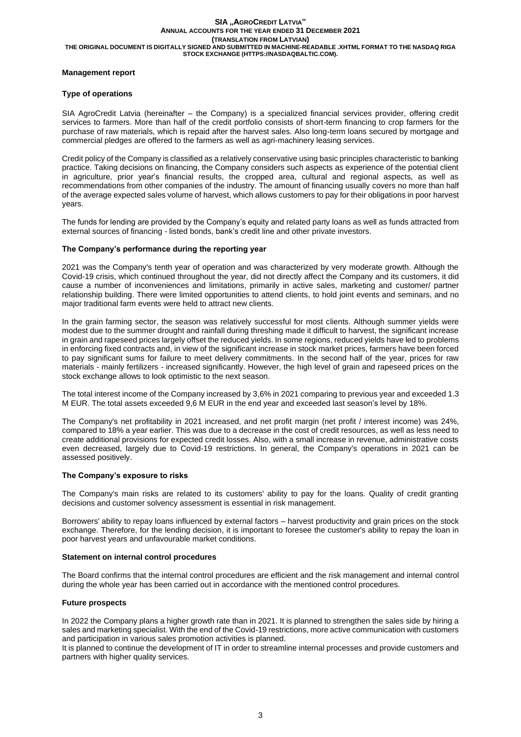## **Management report**

## **Type of operations**

SIA AgroCredit Latvia (hereinafter – the Company) is a specialized financial services provider, offering credit services to farmers. More than half of the credit portfolio consists of short-term financing to crop farmers for the purchase of raw materials, which is repaid after the harvest sales. Also long-term loans secured by mortgage and commercial pledges are offered to the farmers as well as agri-machinery leasing services.

Credit policy of the Company is classified as a relatively conservative using basic principles characteristic to banking practice. Taking decisions on financing, the Company considers such aspects as experience of the potential client in agriculture, prior year's financial results, the cropped area, cultural and regional aspects, as well as recommendations from other companies of the industry. The amount of financing usually covers no more than half of the average expected sales volume of harvest, which allows customers to pay for their obligations in poor harvest years.

The funds for lending are provided by the Company's equity and related party loans as well as funds attracted from external sources of financing - listed bonds, bank's credit line and other private investors.

## **The Company's performance during the reporting year**

2021 was the Company's tenth year of operation and was characterized by very moderate growth. Although the Covid-19 crisis, which continued throughout the year, did not directly affect the Company and its customers, it did cause a number of inconveniences and limitations, primarily in active sales, marketing and customer/ partner relationship building. There were limited opportunities to attend clients, to hold joint events and seminars, and no major traditional farm events were held to attract new clients.

In the grain farming sector, the season was relatively successful for most clients. Although summer yields were modest due to the summer drought and rainfall during threshing made it difficult to harvest, the significant increase in grain and rapeseed prices largely offset the reduced yields. In some regions, reduced yields have led to problems in enforcing fixed contracts and, in view of the significant increase in stock market prices, farmers have been forced to pay significant sums for failure to meet delivery commitments. In the second half of the year, prices for raw materials - mainly fertilizers - increased significantly. However, the high level of grain and rapeseed prices on the stock exchange allows to look optimistic to the next season.

The total interest income of the Company increased by 3,6% in 2021 comparing to previous year and exceeded 1.3 M EUR. The total assets exceeded 9,6 M EUR in the end year and exceeded last season's level by 18%.

The Company's net profitability in 2021 increased, and net profit margin (net profit / interest income) was 24%, compared to 18% a year earlier. This was due to a decrease in the cost of credit resources, as well as less need to create additional provisions for expected credit losses. Also, with a small increase in revenue, administrative costs even decreased, largely due to Covid-19 restrictions. In general, the Company's operations in 2021 can be assessed positively.

### **The Company's exposure to risks**

The Company's main risks are related to its customers' ability to pay for the loans. Quality of credit granting decisions and customer solvency assessment is essential in risk management.

Borrowers' ability to repay loans influenced by external factors – harvest productivity and grain prices on the stock exchange. Therefore, for the lending decision, it is important to foresee the customer's ability to repay the loan in poor harvest years and unfavourable market conditions.

### **Statement on internal control procedures**

The Board confirms that the internal control procedures are efficient and the risk management and internal control during the whole year has been carried out in accordance with the mentioned control procedures.

### **Future prospects**

In 2022 the Company plans a higher growth rate than in 2021. It is planned to strengthen the sales side by hiring a sales and marketing specialist. With the end of the Covid-19 restrictions, more active communication with customers and participation in various sales promotion activities is planned.

It is planned to continue the development of IT in order to streamline internal processes and provide customers and partners with higher quality services.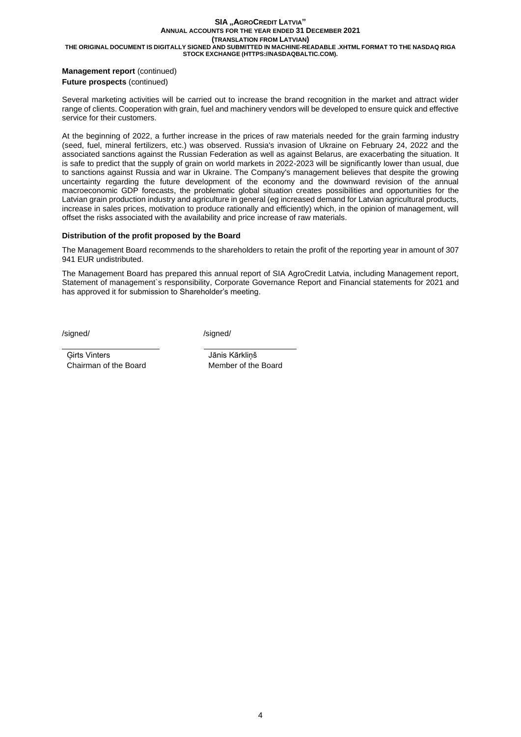## **Management report (continued) Future prospects** (continued)

Several marketing activities will be carried out to increase the brand recognition in the market and attract wider range of clients. Cooperation with grain, fuel and machinery vendors will be developed to ensure quick and effective service for their customers.

At the beginning of 2022, a further increase in the prices of raw materials needed for the grain farming industry (seed, fuel, mineral fertilizers, etc.) was observed. Russia's invasion of Ukraine on February 24, 2022 and the associated sanctions against the Russian Federation as well as against Belarus, are exacerbating the situation. It is safe to predict that the supply of grain on world markets in 2022-2023 will be significantly lower than usual, due to sanctions against Russia and war in Ukraine. The Company's management believes that despite the growing uncertainty regarding the future development of the economy and the downward revision of the annual macroeconomic GDP forecasts, the problematic global situation creates possibilities and opportunities for the Latvian grain production industry and agriculture in general (eg increased demand for Latvian agricultural products, increase in sales prices, motivation to produce rationally and efficiently) which, in the opinion of management, will offset the risks associated with the availability and price increase of raw materials.

## **Distribution of the profit proposed by the Board**

The Management Board recommends to the shareholders to retain the profit of the reporting year in amount of 307 941 EUR undistributed.

The Management Board has prepared this annual report of SIA AgroCredit Latvia, including Management report, Statement of management`s responsibility, Corporate Governance Report and Financial statements for 2021 and has approved it for submission to Shareholder's meeting.

/signed/ /signed/

Ģirts Vinters Jānis Kārkliņš Chairman of the Board Member of the Board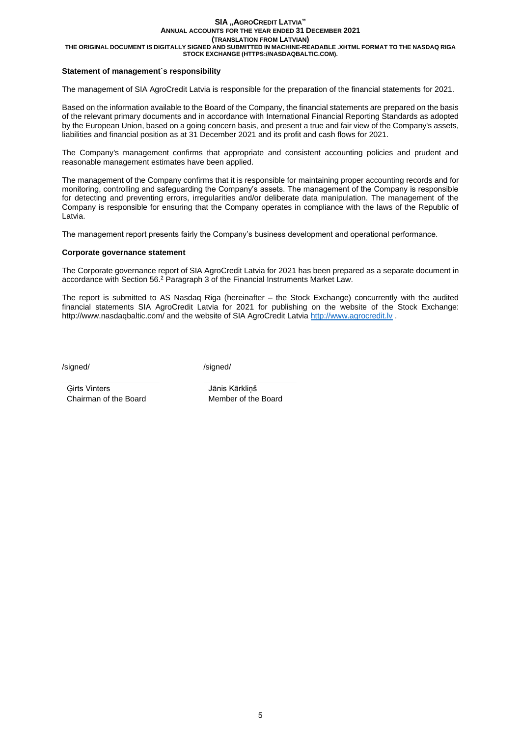## **Statement of management`s responsibility**

The management of SIA AgroCredit Latvia is responsible for the preparation of the financial statements for 2021.

Based on the information available to the Board of the Company, the financial statements are prepared on the basis of the relevant primary documents and in accordance with International Financial Reporting Standards as adopted by the European Union, based on a going concern basis, and present a true and fair view of the Company's assets, liabilities and financial position as at 31 December 2021 and its profit and cash flows for 2021.

The Company's management confirms that appropriate and consistent accounting policies and prudent and reasonable management estimates have been applied.

The management of the Company confirms that it is responsible for maintaining proper accounting records and for monitoring, controlling and safeguarding the Company's assets. The management of the Company is responsible for detecting and preventing errors, irregularities and/or deliberate data manipulation. The management of the Company is responsible for ensuring that the Company operates in compliance with the laws of the Republic of Latvia.

The management report presents fairly the Company's business development and operational performance.

#### **Corporate governance statement**

The Corporate governance report of SIA AgroCredit Latvia for 2021 has been prepared as a separate document in accordance with Section 56.<sup>2</sup> Paragraph 3 of the Financial Instruments Market Law.

The report is submitted to AS Nasdaq Riga (hereinafter – the Stock Exchange) concurrently with the audited financial statements SIA AgroCredit Latvia for 2021 for publishing on the website of the Stock Exchange: http://www.nasdaqbaltic.com/ and the website of SIA AgroCredit Latvia [http://www.agrocredit.lv](http://www.agrocredit.lv/) .

/signed/ /signed/

Ģirts Vinters Jānis Kārkliņš Chairman of the Board Member of the Board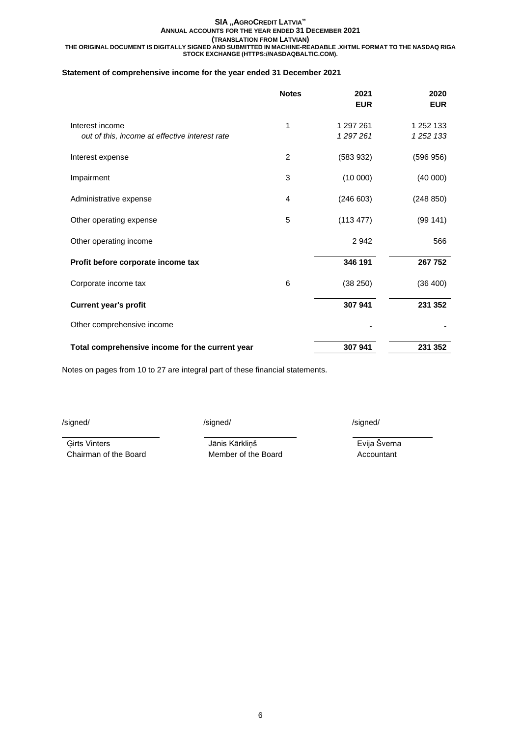## **Statement of comprehensive income for the year ended 31 December 2021**

|                                                                   | <b>Notes</b> | 2021<br><b>EUR</b>   | 2020<br><b>EUR</b>         |
|-------------------------------------------------------------------|--------------|----------------------|----------------------------|
| Interest income<br>out of this, income at effective interest rate | 1            | 1 297 261<br>1297261 | 1 252 133<br>1 2 5 2 1 3 3 |
| Interest expense                                                  | 2            | (583932)             | (596956)                   |
| Impairment                                                        | 3            | (10000)              | (40000)                    |
| Administrative expense                                            | 4            | (246603)             | (248 850)                  |
| Other operating expense                                           | 5            | (113 477)            | (99141)                    |
| Other operating income                                            |              | 2942                 | 566                        |
| Profit before corporate income tax                                |              | 346 191              | 267 752                    |
| Corporate income tax                                              | 6            | (38 250)             | (36 400)                   |
| <b>Current year's profit</b>                                      |              | 307 941              | 231 352                    |
| Other comprehensive income                                        |              |                      |                            |
| Total comprehensive income for the current year                   |              | 307 941              | 231 352                    |

Notes on pages from 10 to 27 are integral part of these financial statements.

/signed/ /signed/ /signed/

Ģirts Vinters Jānis Kārkliņš Evija Šverna

Chairman of the Board Member of the Board Accountant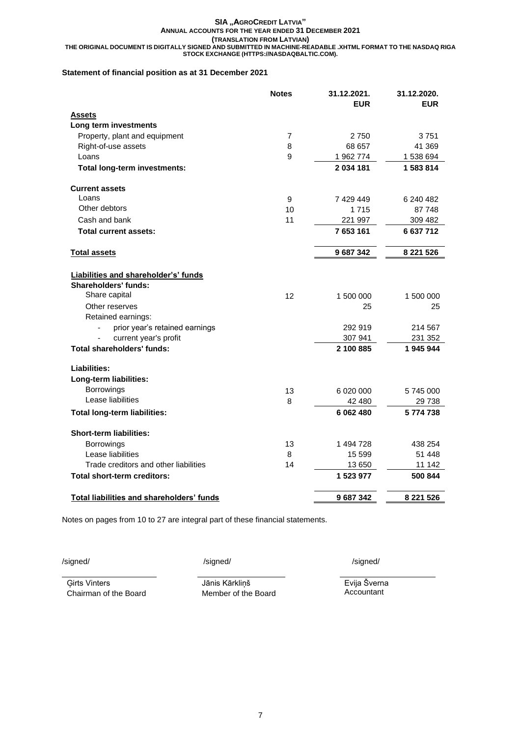## **Statement of financial position as at 31 December 2021**

|                                                  | <b>Notes</b> | 31.12.2021. | 31.12.2020.   |
|--------------------------------------------------|--------------|-------------|---------------|
|                                                  |              | <b>EUR</b>  | <b>EUR</b>    |
| <b>Assets</b>                                    |              |             |               |
| Long term investments                            |              |             |               |
| Property, plant and equipment                    | 7            | 2750        | 3751          |
| Right-of-use assets                              | 8            | 68 657      | 41 369        |
| Loans                                            | 9            | 1 962 774   | 1 538 694     |
| Total long-term investments:                     |              | 2 034 181   | 1583814       |
| <b>Current assets</b>                            |              |             |               |
| Loans                                            | 9            | 7 429 449   | 6 240 482     |
| Other debtors                                    | 10           | 1715        | 87 748        |
| Cash and bank                                    | 11           | 221 997     | 309 482       |
| <b>Total current assets:</b>                     |              | 7 653 161   | 6637712       |
| <b>Total assets</b>                              |              | 9 687 342   | 8 2 2 1 5 2 6 |
|                                                  |              |             |               |
| Liabilities and shareholder's' funds             |              |             |               |
| <b>Shareholders' funds:</b>                      |              |             |               |
| Share capital                                    | 12           | 1 500 000   | 1 500 000     |
| Other reserves                                   |              | 25          | 25            |
| Retained earnings:                               |              |             |               |
| prior year's retained earnings                   |              | 292 919     | 214 567       |
| current year's profit                            |              | 307 941     | 231 352       |
| <b>Total shareholders' funds:</b>                |              | 2 100 885   | 1945944       |
| Liabilities:                                     |              |             |               |
| Long-term liabilities:                           |              |             |               |
| Borrowings                                       | 13           | 6 020 000   | 5745000       |
| Lease liabilities                                | 8            | 42 480      | 29 738        |
| <b>Total long-term liabilities:</b>              |              | 6 062 480   | 5774738       |
| <b>Short-term liabilities:</b>                   |              |             |               |
| Borrowings                                       | 13           | 1 494 728   | 438 254       |
| Lease liabilities                                | 8            | 15 599      | 51 448        |
| Trade creditors and other liabilities            | 14           | 13 650      | 11 142        |
| Total short-term creditors:                      |              | 1 523 977   | 500 844       |
| <b>Total liabilities and shareholders' funds</b> |              | 9 687 342   | 8 221 526     |
|                                                  |              |             |               |

Notes on pages from 10 to 27 are integral part of these financial statements.

Chairman of the Board Member of the Board

Ģirts Vinters Jānis Kārkliņš Evija Šverna

/signed/ /signed/ /signed/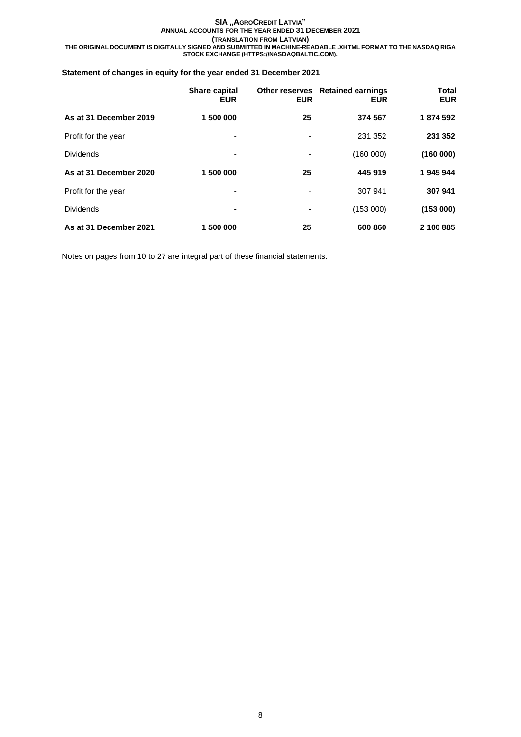## **Statement of changes in equity for the year ended 31 December 2021**

|                        | <b>Share capital</b><br><b>EUR</b> | <b>EUR</b>               | Other reserves Retained earnings<br><b>EUR</b> | <b>Total</b><br><b>EUR</b> |
|------------------------|------------------------------------|--------------------------|------------------------------------------------|----------------------------|
| As at 31 December 2019 | 1 500 000                          | 25                       | 374 567                                        | 1874 592                   |
| Profit for the year    | ٠                                  |                          | 231 352                                        | 231 352                    |
| <b>Dividends</b>       | ٠                                  | $\overline{\phantom{a}}$ | (160000)                                       | (160000)                   |
| As at 31 December 2020 | 1 500 000                          | 25                       | 445 919                                        | 1945944                    |
| Profit for the year    | $\overline{\phantom{a}}$           |                          | 307 941                                        | 307 941                    |
| <b>Dividends</b>       | $\blacksquare$                     | $\blacksquare$           | (153000)                                       | (153000)                   |
| As at 31 December 2021 | 1 500 000                          | 25                       | 600 860                                        | 2 100 885                  |

Notes on pages from 10 to 27 are integral part of these financial statements.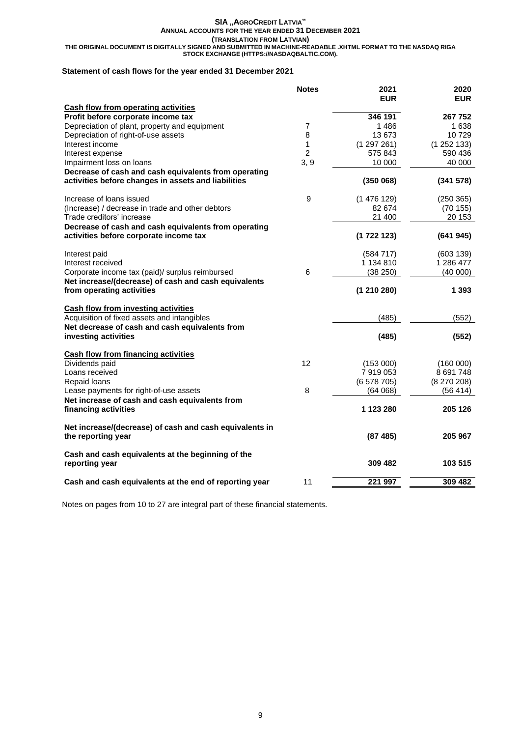**THE ORIGINAL DOCUMENT IS DIGITALLY SIGNED AND SUBMITTED IN MACHINE-READABLE .XHTML FORMAT TO THE NASDAQ RIGA STOCK EXCHANGE (HTTPS://NASDAQBALTIC.COM).**

## **Statement of cash flows for the year ended 31 December 2021**

|                                                                        | <b>Notes</b>   | 2021<br><b>EUR</b> | 2020<br><b>EUR</b> |
|------------------------------------------------------------------------|----------------|--------------------|--------------------|
| <b>Cash flow from operating activities</b>                             |                |                    |                    |
| Profit before corporate income tax                                     |                | 346 191            | 267 752            |
| Depreciation of plant, property and equipment                          | $\overline{7}$ | 1486               | 1 638              |
| Depreciation of right-of-use assets                                    | 8              | 13 673             | 10729              |
| Interest income                                                        | 1              | (1297261)          | (1252133)          |
| Interest expense                                                       | $\overline{c}$ | 575 843            | 590 436            |
| Impairment loss on loans                                               | 3, 9           | 10 000             | 40 000             |
| Decrease of cash and cash equivalents from operating                   |                |                    |                    |
| activities before changes in assets and liabilities                    |                | (350068)           | (341578)           |
| Increase of loans issued                                               | 9              | (1476129)          | (250 365)          |
| (Increase) / decrease in trade and other debtors                       |                | 82 674             | (70155)            |
| Trade creditors' increase                                              |                | 21 400             | 20 153             |
| Decrease of cash and cash equivalents from operating                   |                |                    |                    |
| activities before corporate income tax                                 |                | (1722123)          | (641945)           |
| Interest paid                                                          |                | (584717)           | (603 139)          |
| Interest received                                                      |                | 1 134 810          | 1 286 477          |
| Corporate income tax (paid)/ surplus reimbursed                        | 6              | (38 250)           | (40000)            |
| Net increase/(decrease) of cash and cash equivalents                   |                |                    |                    |
| from operating activities                                              |                | (1210280)          | 1 3 9 3            |
| <b>Cash flow from investing activities</b>                             |                |                    |                    |
| Acquisition of fixed assets and intangibles                            |                | (485)              | (552)              |
| Net decrease of cash and cash equivalents from                         |                |                    |                    |
| investing activities                                                   |                | (485)              | (552)              |
| <b>Cash flow from financing activities</b>                             |                |                    |                    |
| Dividends paid                                                         | 12             | (153000)           | (160000)           |
| Loans received                                                         |                | 7 919 053          | 8 691 748          |
| Repaid loans                                                           |                | (6578705)          | $(8\ 270\ 208)$    |
| Lease payments for right-of-use assets                                 | 8              | (64068)            | (56 414)           |
| Net increase of cash and cash equivalents from<br>financing activities |                | 1 123 280          | 205 126            |
|                                                                        |                |                    |                    |
| Net increase/(decrease) of cash and cash equivalents in                |                |                    |                    |
| the reporting year                                                     |                | (87485)            | 205 967            |
| Cash and cash equivalents at the beginning of the                      |                |                    |                    |
| reporting year                                                         |                | 309 482            | 103 515            |
| Cash and cash equivalents at the end of reporting year                 | 11             | 221 997            | 309 482            |

Notes on pages from 10 to 27 are integral part of these financial statements.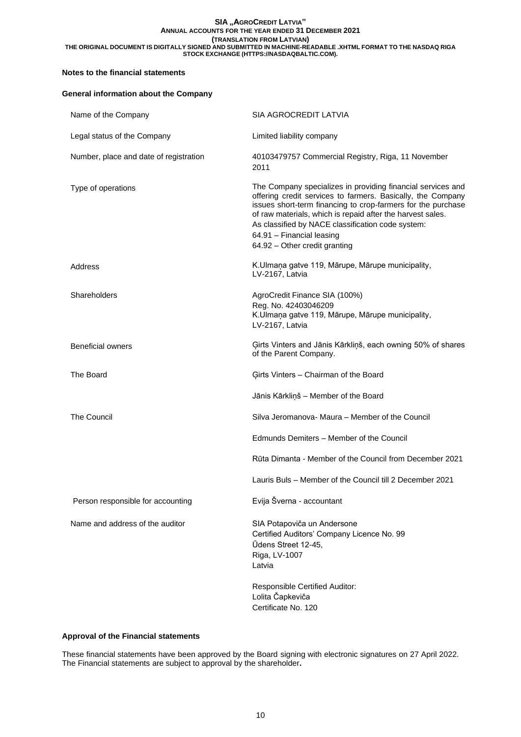## **Notes to the financial statements**

# **General information about the Company** Name of the Company SIA AGROCREDIT LATVIA Legal status of the Company **Limited liability company** Number, place and date of registration 40103479757 Commercial Registry, Riga, 11 November 2011 Type of operations The Company specializes in providing financial services and offering credit services to farmers. Basically, the Company issues short-term financing to crop-farmers for the purchase of raw materials, which is repaid after the harvest sales. As classified by NACE classification code system: 64.91 – Financial leasing 64.92 – Other credit granting Address **K.Ulmana gatve 119, Mārupe, Mārupe municipality**, LV-2167, Latvia Shareholders **AgroCredit Finance SIA (100%)** Reg. No. 42403046209 K.Ulmaņa gatve 119, Mārupe, Mārupe municipality, LV-2167, Latvia Beneficial owners Ģirts Vinters and Jānis Kārkliņš, each owning 50% of shares of the Parent Company. The Board **Figure 2018** Girts Vinters – Chairman of the Board Jānis Kārkliņš – Member of the Board The Council Silva Jeromanova- Maura – Member of the Council Edmunds Demiters – Member of the Council Rūta Dimanta - Member of the Council from December 2021 Lauris Buls – Member of the Council till 2 December 2021 Person responsible for accounting Fig. Sverna - accountant Name and address of the auditor SIA Potapoviča un Andersone Certified Auditors' Company Licence No. 99 Ūdens Street 12-45, Riga, LV-1007 Latvia Responsible Certified Auditor: Lolita Čapkeviča

## **Approval of the Financial statements**

These financial statements have been approved by the Board signing with electronic signatures on 27 April 2022. The Financial statements are subject to approval by the shareholder**.**

Certificate No. 120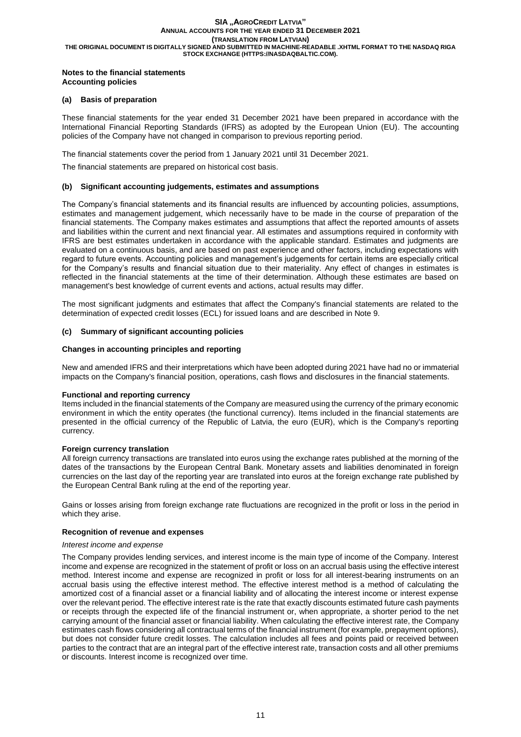### **Notes to the financial statements Accounting policies**

## **(a) Basis of preparation**

These financial statements for the year ended 31 December 2021 have been prepared in accordance with the International Financial Reporting Standards (IFRS) as adopted by the European Union (EU). The accounting policies of the Company have not changed in comparison to previous reporting period.

The financial statements cover the period from 1 January 2021 until 31 December 2021.

The financial statements are prepared on historical cost basis.

### **(b) Significant accounting judgements, estimates and assumptions**

The Company's financial statements and its financial results are influenced by accounting policies, assumptions, estimates and management judgement, which necessarily have to be made in the course of preparation of the financial statements. The Company makes estimates and assumptions that affect the reported amounts of assets and liabilities within the current and next financial year. All estimates and assumptions required in conformity with IFRS are best estimates undertaken in accordance with the applicable standard. Estimates and judgments are evaluated on a continuous basis, and are based on past experience and other factors, including expectations with regard to future events. Accounting policies and management's judgements for certain items are especially critical for the Company's results and financial situation due to their materiality. Any effect of changes in estimates is reflected in the financial statements at the time of their determination. Although these estimates are based on management's best knowledge of current events and actions, actual results may differ.

The most significant judgments and estimates that affect the Company's financial statements are related to the determination of expected credit losses (ECL) for issued loans and are described in Note 9.

## **(c) Summary of significant accounting policies**

## **Changes in accounting principles and reporting**

New and amended IFRS and their interpretations which have been adopted during 2021 have had no or immaterial impacts on the Company's financial position, operations, cash flows and disclosures in the financial statements.

### **Functional and reporting currency**

Items included in the financial statements of the Company are measured using the currency of the primary economic environment in which the entity operates (the functional currency). Items included in the financial statements are presented in the official currency of the Republic of Latvia, the euro (EUR), which is the Company's reporting currency.

### **Foreign currency translation**

All foreign currency transactions are translated into euros using the exchange rates published at the morning of the dates of the transactions by the European Central Bank. Monetary assets and liabilities denominated in foreign currencies on the last day of the reporting year are translated into euros at the foreign exchange rate published by the European Central Bank ruling at the end of the reporting year.

Gains or losses arising from foreign exchange rate fluctuations are recognized in the profit or loss in the period in which they arise.

### **Recognition of revenue and expenses**

### *Interest income and expense*

The Company provides lending services, and interest income is the main type of income of the Company. Interest income and expense are recognized in the statement of profit or loss on an accrual basis using the effective interest method. Interest income and expense are recognized in profit or loss for all interest-bearing instruments on an accrual basis using the effective interest method. The effective interest method is a method of calculating the amortized cost of a financial asset or a financial liability and of allocating the interest income or interest expense over the relevant period. The effective interest rate is the rate that exactly discounts estimated future cash payments or receipts through the expected life of the financial instrument or, when appropriate, a shorter period to the net carrying amount of the financial asset or financial liability. When calculating the effective interest rate, the Company estimates cash flows considering all contractual terms of the financial instrument (for example, prepayment options), but does not consider future credit losses. The calculation includes all fees and points paid or received between parties to the contract that are an integral part of the effective interest rate, transaction costs and all other premiums or discounts. Interest income is recognized over time.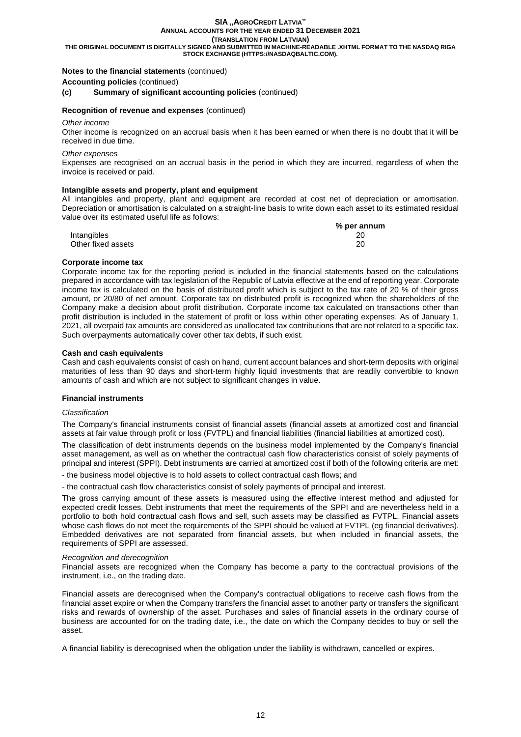## **SIA "AGROCREDIT LATVIA" ANNUAL ACCOUNTS FOR THE YEAR ENDED 31 DECEMBER 2021**

**(TRANSLATION FROM LATVIAN)**

**THE ORIGINAL DOCUMENT IS DIGITALLY SIGNED AND SUBMITTED IN MACHINE-READABLE .XHTML FORMAT TO THE NASDAQ RIGA STOCK EXCHANGE (HTTPS://NASDAQBALTIC.COM).**

## **Notes to the financial statements** (continued)

**Accounting policies** (continued)

#### **(c) Summary of significant accounting policies** (continued)

#### **Recognition of revenue and expenses** (continued)

#### *Other income*

Other income is recognized on an accrual basis when it has been earned or when there is no doubt that it will be received in due time.

#### *Other expenses*

Expenses are recognised on an accrual basis in the period in which they are incurred, regardless of when the invoice is received or paid.

#### **Intangible assets and property, plant and equipment**

All intangibles and property, plant and equipment are recorded at cost net of depreciation or amortisation. Depreciation or amortisation is calculated on a straight-line basis to write down each asset to its estimated residual value over its estimated useful life as follows: **% per annum**

|                    | 70 per annum |
|--------------------|--------------|
| Intangibles        | 20           |
| Other fixed assets | 20           |

#### **Corporate income tax**

Corporate income tax for the reporting period is included in the financial statements based on the calculations prepared in accordance with tax legislation of the Republic of Latvia effective at the end of reporting year. Corporate income tax is calculated on the basis of distributed profit which is subject to the tax rate of 20 % of their gross amount, or 20/80 of net amount. Corporate tax on distributed profit is recognized when the shareholders of the Company make a decision about profit distribution. Corporate income tax calculated on transactions other than profit distribution is included in the statement of profit or loss within other operating expenses. As of January 1, 2021, all overpaid tax amounts are considered as unallocated tax contributions that are not related to a specific tax. Such overpayments automatically cover other tax debts, if such exist.

#### **Cash and cash equivalents**

Cash and cash equivalents consist of cash on hand, current account balances and short-term deposits with original maturities of less than 90 days and short-term highly liquid investments that are readily convertible to known amounts of cash and which are not subject to significant changes in value.

#### **Financial instruments**

#### *Classification*

The Company's financial instruments consist of financial assets (financial assets at amortized cost and financial assets at fair value through profit or loss (FVTPL) and financial liabilities (financial liabilities at amortized cost).

The classification of debt instruments depends on the business model implemented by the Company's financial asset management, as well as on whether the contractual cash flow characteristics consist of solely payments of principal and interest (SPPI). Debt instruments are carried at amortized cost if both of the following criteria are met:

- the business model objective is to hold assets to collect contractual cash flows; and

- the contractual cash flow characteristics consist of solely payments of principal and interest.

The gross carrying amount of these assets is measured using the effective interest method and adjusted for expected credit losses. Debt instruments that meet the requirements of the SPPI and are nevertheless held in a portfolio to both hold contractual cash flows and sell, such assets may be classified as FVTPL. Financial assets whose cash flows do not meet the requirements of the SPPI should be valued at FVTPL (eg financial derivatives). Embedded derivatives are not separated from financial assets, but when included in financial assets, the requirements of SPPI are assessed.

#### *Recognition and derecognition*

Financial assets are recognized when the Company has become a party to the contractual provisions of the instrument, i.e., on the trading date.

Financial assets are derecognised when the Company's contractual obligations to receive cash flows from the financial asset expire or when the Company transfers the financial asset to another party or transfers the significant risks and rewards of ownership of the asset. Purchases and sales of financial assets in the ordinary course of business are accounted for on the trading date, i.e., the date on which the Company decides to buy or sell the asset.

A financial liability is derecognised when the obligation under the liability is withdrawn, cancelled or expires.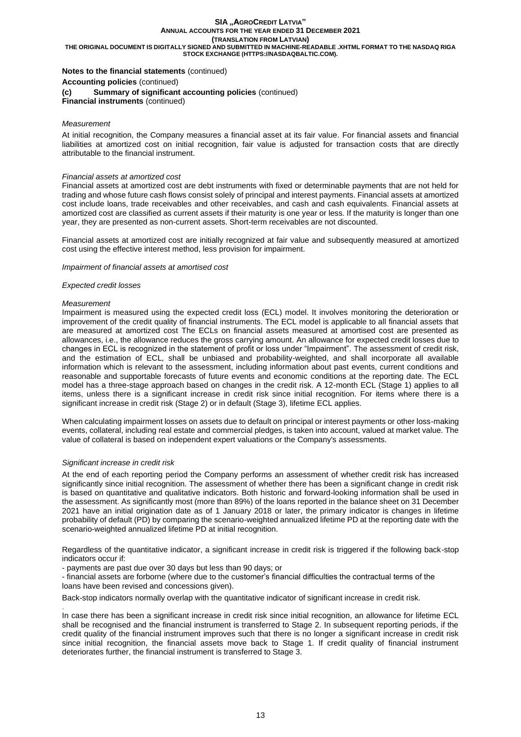## **Notes to the financial statements** (continued)

**Accounting policies** (continued)

#### **(c) Summary of significant accounting policies** (continued)

**Financial instruments** (continued)

### *Measurement*

At initial recognition, the Company measures a financial asset at its fair value. For financial assets and financial liabilities at amortized cost on initial recognition, fair value is adjusted for transaction costs that are directly attributable to the financial instrument.

#### *Financial assets at amortized cost*

Financial assets at amortized cost are debt instruments with fixed or determinable payments that are not held for trading and whose future cash flows consist solely of principal and interest payments. Financial assets at amortized cost include loans, trade receivables and other receivables, and cash and cash equivalents. Financial assets at amortized cost are classified as current assets if their maturity is one year or less. If the maturity is longer than one year, they are presented as non-current assets. Short-term receivables are not discounted.

Financial assets at amortized cost are initially recognized at fair value and subsequently measured at amortized cost using the effective interest method, less provision for impairment.

#### *Impairment of financial assets at amortised cost*

#### *Expected credit losses*

#### *Measurement*

Impairment is measured using the expected credit loss (ECL) model. It involves monitoring the deterioration or improvement of the credit quality of financial instruments. The ECL model is applicable to all financial assets that are measured at amortized cost The ECLs on financial assets measured at amortised cost are presented as allowances, i.e., the allowance reduces the gross carrying amount. An allowance for expected credit losses due to changes in ECL is recognized in the statement of profit or loss under "Impairment". The assessment of credit risk, and the estimation of ECL, shall be unbiased and probability-weighted, and shall incorporate all available information which is relevant to the assessment, including information about past events, current conditions and reasonable and supportable forecasts of future events and economic conditions at the reporting date. The ECL model has a three-stage approach based on changes in the credit risk. A 12-month ECL (Stage 1) applies to all items, unless there is a significant increase in credit risk since initial recognition. For items where there is a significant increase in credit risk (Stage 2) or in default (Stage 3), lifetime ECL applies.

When calculating impairment losses on assets due to default on principal or interest payments or other loss-making events, collateral, including real estate and commercial pledges, is taken into account, valued at market value. The value of collateral is based on independent expert valuations or the Company's assessments.

### *Significant increase in credit risk*

.

At the end of each reporting period the Company performs an assessment of whether credit risk has increased significantly since initial recognition. The assessment of whether there has been a significant change in credit risk is based on quantitative and qualitative indicators. Both historic and forward-looking information shall be used in the assessment. As significantly most (more than 89%) of the loans reported in the balance sheet on 31 December 2021 have an initial origination date as of 1 January 2018 or later, the primary indicator is changes in lifetime probability of default (PD) by comparing the scenario-weighted annualized lifetime PD at the reporting date with the scenario-weighted annualized lifetime PD at initial recognition.

Regardless of the quantitative indicator, a significant increase in credit risk is triggered if the following back-stop indicators occur if:

- payments are past due over 30 days but less than 90 days; or

- financial assets are forborne (where due to the customer's financial difficulties the contractual terms of the loans have been revised and concessions given).

Back-stop indicators normally overlap with the quantitative indicator of significant increase in credit risk.

In case there has been a significant increase in credit risk since initial recognition, an allowance for lifetime ECL shall be recognised and the financial instrument is transferred to Stage 2. In subsequent reporting periods, if the credit quality of the financial instrument improves such that there is no longer a significant increase in credit risk since initial recognition, the financial assets move back to Stage 1. If credit quality of financial instrument deteriorates further, the financial instrument is transferred to Stage 3.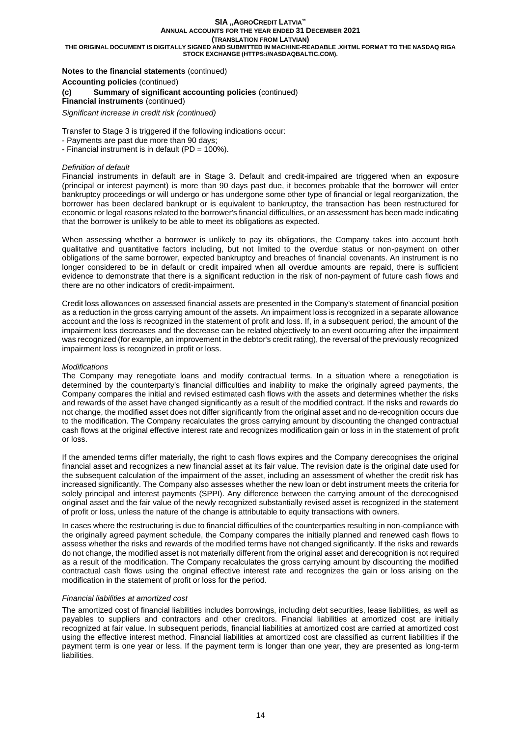#### **SIA "AGROCREDIT LATVIA" ANNUAL ACCOUNTS FOR THE YEAR ENDED 31 DECEMBER 2021**

**(TRANSLATION FROM LATVIAN)**

**THE ORIGINAL DOCUMENT IS DIGITALLY SIGNED AND SUBMITTED IN MACHINE-READABLE .XHTML FORMAT TO THE NASDAQ RIGA STOCK EXCHANGE (HTTPS://NASDAQBALTIC.COM).**

## **Notes to the financial statements** (continued)

**Accounting policies** (continued)

## **(c) Summary of significant accounting policies** (continued)

## **Financial instruments** (continued)

*Significant increase in credit risk (continued)*

Transfer to Stage 3 is triggered if the following indications occur:

- Payments are past due more than 90 days;
- Financial instrument is in default (PD = 100%).

## *Definition of default*

Financial instruments in default are in Stage 3. Default and credit-impaired are triggered when an exposure (principal or interest payment) is more than 90 days past due, it becomes probable that the borrower will enter bankruptcy proceedings or will undergo or has undergone some other type of financial or legal reorganization, the borrower has been declared bankrupt or is equivalent to bankruptcy, the transaction has been restructured for economic or legal reasons related to the borrower's financial difficulties, or an assessment has been made indicating that the borrower is unlikely to be able to meet its obligations as expected.

When assessing whether a borrower is unlikely to pay its obligations, the Company takes into account both qualitative and quantitative factors including, but not limited to the overdue status or non-payment on other obligations of the same borrower, expected bankruptcy and breaches of financial covenants. An instrument is no longer considered to be in default or credit impaired when all overdue amounts are repaid, there is sufficient evidence to demonstrate that there is a significant reduction in the risk of non-payment of future cash flows and there are no other indicators of credit-impairment.

Credit loss allowances on assessed financial assets are presented in the Company's statement of financial position as a reduction in the gross carrying amount of the assets. An impairment loss is recognized in a separate allowance account and the loss is recognized in the statement of profit and loss. If, in a subsequent period, the amount of the impairment loss decreases and the decrease can be related objectively to an event occurring after the impairment was recognized (for example, an improvement in the debtor's credit rating), the reversal of the previously recognized impairment loss is recognized in profit or loss.

### *Modifications*

The Company may renegotiate loans and modify contractual terms. In a situation where a renegotiation is determined by the counterparty's financial difficulties and inability to make the originally agreed payments, the Company compares the initial and revised estimated cash flows with the assets and determines whether the risks and rewards of the asset have changed significantly as a result of the modified contract. If the risks and rewards do not change, the modified asset does not differ significantly from the original asset and no de-recognition occurs due to the modification. The Company recalculates the gross carrying amount by discounting the changed contractual cash flows at the original effective interest rate and recognizes modification gain or loss in in the statement of profit or loss.

If the amended terms differ materially, the right to cash flows expires and the Company derecognises the original financial asset and recognizes a new financial asset at its fair value. The revision date is the original date used for the subsequent calculation of the impairment of the asset, including an assessment of whether the credit risk has increased significantly. The Company also assesses whether the new loan or debt instrument meets the criteria for solely principal and interest payments (SPPI). Any difference between the carrying amount of the derecognised original asset and the fair value of the newly recognized substantially revised asset is recognized in the statement of profit or loss, unless the nature of the change is attributable to equity transactions with owners.

In cases where the restructuring is due to financial difficulties of the counterparties resulting in non-compliance with the originally agreed payment schedule, the Company compares the initially planned and renewed cash flows to assess whether the risks and rewards of the modified terms have not changed significantly. If the risks and rewards do not change, the modified asset is not materially different from the original asset and derecognition is not required as a result of the modification. The Company recalculates the gross carrying amount by discounting the modified contractual cash flows using the original effective interest rate and recognizes the gain or loss arising on the modification in the statement of profit or loss for the period.

### *Financial liabilities at amortized cost*

The amortized cost of financial liabilities includes borrowings, including debt securities, lease liabilities, as well as payables to suppliers and contractors and other creditors. Financial liabilities at amortized cost are initially recognized at fair value. In subsequent periods, financial liabilities at amortized cost are carried at amortized cost using the effective interest method. Financial liabilities at amortized cost are classified as current liabilities if the payment term is one year or less. If the payment term is longer than one year, they are presented as long-term **liabilities**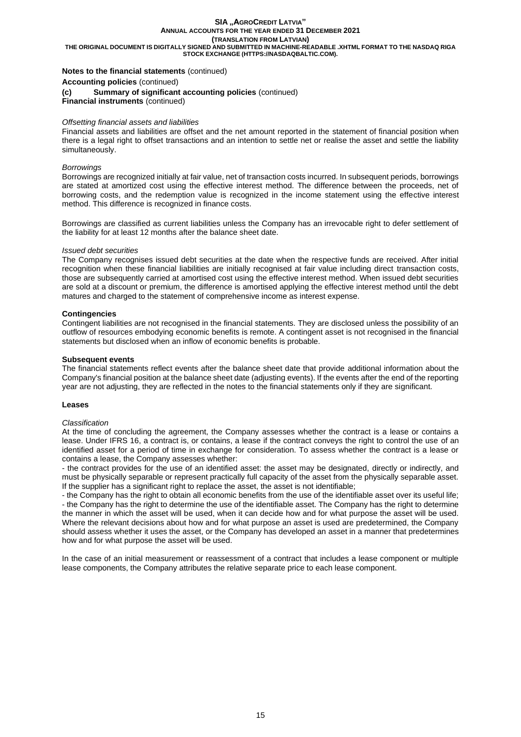**THE ORIGINAL DOCUMENT IS DIGITALLY SIGNED AND SUBMITTED IN MACHINE-READABLE .XHTML FORMAT TO THE NASDAQ RIGA STOCK EXCHANGE (HTTPS://NASDAQBALTIC.COM).**

## **Notes to the financial statements** (continued)

**Accounting policies** (continued)

#### **(c) Summary of significant accounting policies** (continued)

**Financial instruments** (continued)

#### *Offsetting financial assets and liabilities*

Financial assets and liabilities are offset and the net amount reported in the statement of financial position when there is a legal right to offset transactions and an intention to settle net or realise the asset and settle the liability simultaneously.

## *Borrowings*

Borrowings are recognized initially at fair value, net of transaction costs incurred. In subsequent periods, borrowings are stated at amortized cost using the effective interest method. The difference between the proceeds, net of borrowing costs, and the redemption value is recognized in the income statement using the effective interest method. This difference is recognized in finance costs.

Borrowings are classified as current liabilities unless the Company has an irrevocable right to defer settlement of the liability for at least 12 months after the balance sheet date.

#### *Issued debt securities*

The Company recognises issued debt securities at the date when the respective funds are received. After initial recognition when these financial liabilities are initially recognised at fair value including direct transaction costs, those are subsequently carried at amortised cost using the effective interest method. When issued debt securities are sold at a discount or premium, the difference is amortised applying the effective interest method until the debt matures and charged to the statement of comprehensive income as interest expense.

### **Contingencies**

Contingent liabilities are not recognised in the financial statements. They are disclosed unless the possibility of an outflow of resources embodying economic benefits is remote. A contingent asset is not recognised in the financial statements but disclosed when an inflow of economic benefits is probable.

#### **Subsequent events**

The financial statements reflect events after the balance sheet date that provide additional information about the Company's financial position at the balance sheet date (adjusting events). If the events after the end of the reporting year are not adjusting, they are reflected in the notes to the financial statements only if they are significant.

#### **Leases**

#### *Classification*

At the time of concluding the agreement, the Company assesses whether the contract is a lease or contains a lease. Under IFRS 16, a contract is, or contains, a lease if the contract conveys the right to control the use of an identified asset for a period of time in exchange for consideration. To assess whether the contract is a lease or contains a lease, the Company assesses whether:

- the contract provides for the use of an identified asset: the asset may be designated, directly or indirectly, and must be physically separable or represent practically full capacity of the asset from the physically separable asset. If the supplier has a significant right to replace the asset, the asset is not identifiable;

- the Company has the right to obtain all economic benefits from the use of the identifiable asset over its useful life; - the Company has the right to determine the use of the identifiable asset. The Company has the right to determine the manner in which the asset will be used, when it can decide how and for what purpose the asset will be used. Where the relevant decisions about how and for what purpose an asset is used are predetermined, the Company should assess whether it uses the asset, or the Company has developed an asset in a manner that predetermines how and for what purpose the asset will be used.

In the case of an initial measurement or reassessment of a contract that includes a lease component or multiple lease components, the Company attributes the relative separate price to each lease component.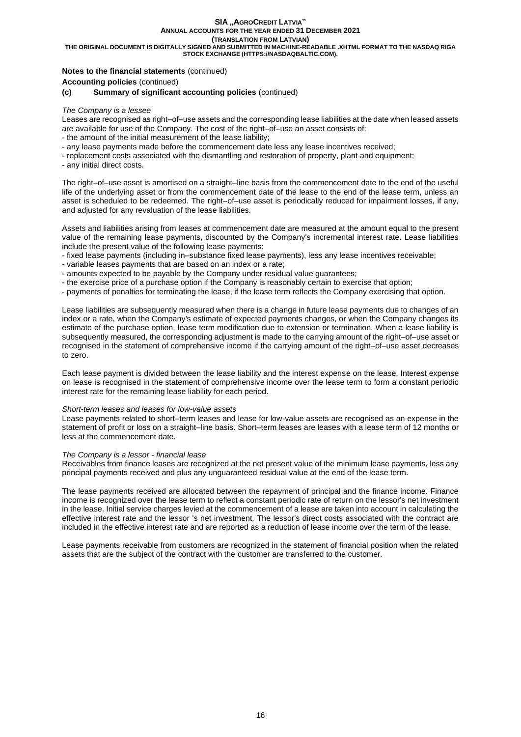#### **SIA "AGROCREDIT LATVIA" ANNUAL ACCOUNTS FOR THE YEAR ENDED 31 DECEMBER 2021**

**(TRANSLATION FROM LATVIAN)**

**THE ORIGINAL DOCUMENT IS DIGITALLY SIGNED AND SUBMITTED IN MACHINE-READABLE .XHTML FORMAT TO THE NASDAQ RIGA STOCK EXCHANGE (HTTPS://NASDAQBALTIC.COM).**

## **Notes to the financial statements** (continued)

**Accounting policies** (continued)

## **(c) Summary of significant accounting policies** (continued)

## *The Company is a lessee*

Leases are recognised as right–of–use assets and the corresponding lease liabilities at the date when leased assets are available for use of the Company. The cost of the right–of–use an asset consists of: - the amount of the initial measurement of the lease liability;

- 
- any lease payments made before the commencement date less any lease incentives received;
- replacement costs associated with the dismantling and restoration of property, plant and equipment;
- any initial direct costs.

The right–of–use asset is amortised on a straight–line basis from the commencement date to the end of the useful life of the underlying asset or from the commencement date of the lease to the end of the lease term, unless an asset is scheduled to be redeemed. The right–of–use asset is periodically reduced for impairment losses, if any, and adjusted for any revaluation of the lease liabilities.

Assets and liabilities arising from leases at commencement date are measured at the amount equal to the present value of the remaining lease payments, discounted by the Company's incremental interest rate. Lease liabilities include the present value of the following lease payments:

- fixed lease payments (including in–substance fixed lease payments), less any lease incentives receivable;
- variable leases payments that are based on an index or a rate;
- amounts expected to be payable by the Company under residual value guarantees;
- the exercise price of a purchase option if the Company is reasonably certain to exercise that option;
- payments of penalties for terminating the lease, if the lease term reflects the Company exercising that option.

Lease liabilities are subsequently measured when there is a change in future lease payments due to changes of an index or a rate, when the Company's estimate of expected payments changes, or when the Company changes its estimate of the purchase option, lease term modification due to extension or termination. When a lease liability is subsequently measured, the corresponding adjustment is made to the carrying amount of the right–of–use asset or recognised in the statement of comprehensive income if the carrying amount of the right–of–use asset decreases to zero.

Each lease payment is divided between the lease liability and the interest expense on the lease. Interest expense on lease is recognised in the statement of comprehensive income over the lease term to form a constant periodic interest rate for the remaining lease liability for each period.

### *Short-term leases and leases for low-value assets*

Lease payments related to short–term leases and lease for low-value assets are recognised as an expense in the statement of profit or loss on a straight–line basis. Short–term leases are leases with a lease term of 12 months or less at the commencement date.

### *The Company is a lessor - financial lease*

Receivables from finance leases are recognized at the net present value of the minimum lease payments, less any principal payments received and plus any unguaranteed residual value at the end of the lease term.

The lease payments received are allocated between the repayment of principal and the finance income. Finance income is recognized over the lease term to reflect a constant periodic rate of return on the lessor's net investment in the lease. Initial service charges levied at the commencement of a lease are taken into account in calculating the effective interest rate and the lessor 's net investment. The lessor's direct costs associated with the contract are included in the effective interest rate and are reported as a reduction of lease income over the term of the lease.

Lease payments receivable from customers are recognized in the statement of financial position when the related assets that are the subject of the contract with the customer are transferred to the customer.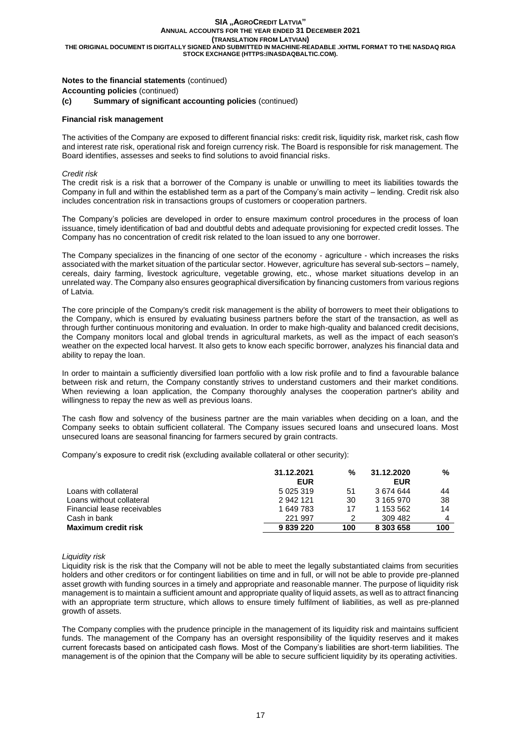## **Notes to the financial statements** (continued)

**Accounting policies** (continued)

## **(c) Summary of significant accounting policies** (continued)

#### **Financial risk management**

The activities of the Company are exposed to different financial risks: credit risk, liquidity risk, market risk, cash flow and interest rate risk, operational risk and foreign currency risk. The Board is responsible for risk management. The Board identifies, assesses and seeks to find solutions to avoid financial risks.

### *Credit risk*

The credit risk is a risk that a borrower of the Company is unable or unwilling to meet its liabilities towards the Company in full and within the established term as a part of the Company's main activity – lending. Credit risk also includes concentration risk in transactions groups of customers or cooperation partners.

The Company's policies are developed in order to ensure maximum control procedures in the process of loan issuance, timely identification of bad and doubtful debts and adequate provisioning for expected credit losses. The Company has no concentration of credit risk related to the loan issued to any one borrower.

The Company specializes in the financing of one sector of the economy - agriculture - which increases the risks associated with the market situation of the particular sector. However, agriculture has several sub-sectors – namely, cereals, dairy farming, livestock agriculture, vegetable growing, etc., whose market situations develop in an unrelated way. The Company also ensures geographical diversification by financing customers from various regions of Latvia.

The core principle of the Company's credit risk management is the ability of borrowers to meet their obligations to the Company, which is ensured by evaluating business partners before the start of the transaction, as well as through further continuous monitoring and evaluation. In order to make high-quality and balanced credit decisions, the Company monitors local and global trends in agricultural markets, as well as the impact of each season's weather on the expected local harvest. It also gets to know each specific borrower, analyzes his financial data and ability to repay the loan.

In order to maintain a sufficiently diversified loan portfolio with a low risk profile and to find a favourable balance between risk and return, the Company constantly strives to understand customers and their market conditions. When reviewing a loan application, the Company thoroughly analyses the cooperation partner's ability and willingness to repay the new as well as previous loans.

The cash flow and solvency of the business partner are the main variables when deciding on a loan, and the Company seeks to obtain sufficient collateral. The Company issues secured loans and unsecured loans. Most unsecured loans are seasonal financing for farmers secured by grain contracts.

Company's exposure to credit risk (excluding available collateral or other security):

|                             | 31.12.2021<br><b>EUR</b> | %   | 31.12.2020<br><b>EUR</b> | %   |
|-----------------------------|--------------------------|-----|--------------------------|-----|
| Loans with collateral       | 5 0 2 5 3 1 9            | 51  | 3 674 644                | 44  |
| Loans without collateral    | 2942121                  | 30  | 3 165 970                | 38  |
| Financial lease receivables | 1 649 783                | 17  | 1 153 562                | 14  |
| Cash in bank                | 221 997                  |     | 309 482                  |     |
| <b>Maximum credit risk</b>  | 9839220                  | 100 | 8 303 658                | 100 |

#### *Liquidity risk*

Liquidity risk is the risk that the Company will not be able to meet the legally substantiated claims from securities holders and other creditors or for contingent liabilities on time and in full, or will not be able to provide pre-planned asset growth with funding sources in a timely and appropriate and reasonable manner. The purpose of liquidity risk management is to maintain a sufficient amount and appropriate quality of liquid assets, as well as to attract financing with an appropriate term structure, which allows to ensure timely fulfilment of liabilities, as well as pre-planned growth of assets.

The Company complies with the prudence principle in the management of its liquidity risk and maintains sufficient funds. The management of the Company has an oversight responsibility of the liquidity reserves and it makes current forecasts based on anticipated cash flows. Most of the Company's liabilities are short-term liabilities. The management is of the opinion that the Company will be able to secure sufficient liquidity by its operating activities.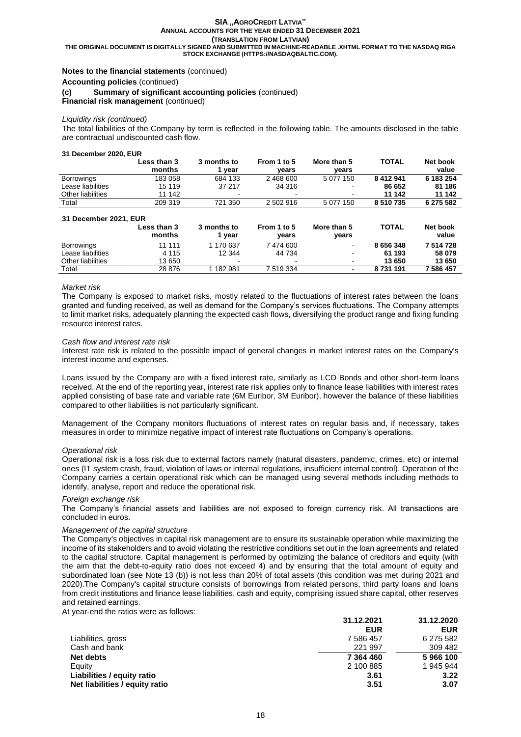**THE ORIGINAL DOCUMENT IS DIGITALLY SIGNED AND SUBMITTED IN MACHINE-READABLE .XHTML FORMAT TO THE NASDAQ RIGA STOCK EXCHANGE (HTTPS://NASDAQBALTIC.COM).**

## **Notes to the financial statements** (continued)

**Accounting policies** (continued)

**(c) Summary of significant accounting policies** (continued)

**Financial risk management** (continued)

#### *Liquidity risk (continued)*

The total liabilities of the Company by term is reflected in the following table. The amounts disclosed in the table are contractual undiscounted cash flow.

#### **31 December 2020, EUR**

|                   | Less than 3<br>months | 3 months to<br>vear | From 1 to 5<br>vears | More than 5<br>vears | <b>TOTAL</b> | Net book<br>value |
|-------------------|-----------------------|---------------------|----------------------|----------------------|--------------|-------------------|
| <b>Borrowings</b> | 183 058               | 684 133             | 2 468 600            | 5 077 150            | 8 412 941    | 6 183 254         |
| Lease liabilities | 15 119                | 37 217              | 34 316               | $\blacksquare$       | 86 652       | 81 186            |
| Other liabilities | 11 142                | ۰.                  |                      | $\blacksquare$       | 11 142       | 11 142            |
| Total             | 209 319               | 721 350             | 2 502 916            | 5 077 150            | 8510735      | 6 275 582         |

| 31 December 2021, EUR |                       |                       |                      |                          |              |                   |
|-----------------------|-----------------------|-----------------------|----------------------|--------------------------|--------------|-------------------|
|                       | Less than 3<br>months | 3 months to<br>1 vear | From 1 to 5<br>vears | More than 5<br>vears     | <b>TOTAL</b> | Net book<br>value |
| <b>Borrowings</b>     | 11 111                | 1 170 637             | 7 474 600            | $\sim$                   | 8 656 348    | 7 514 728         |
| Lease liabilities     | 4 1 1 5               | 12 344                | 44 734               | $\overline{\phantom{a}}$ | 61 193       | 58 079            |
| Other liabilities     | 13 650                | $\sim$                |                      | $\sim$                   | 13 650       | 13 650            |
| Total                 | 28 876                | 1 182 981             | 7 519 334            | $\blacksquare$           | 8731191      | 7 586 457         |

#### *Market risk*

The Company is exposed to market risks, mostly related to the fluctuations of interest rates between the loans granted and funding received, as well as demand for the Company's services fluctuations. The Company attempts to limit market risks, adequately planning the expected cash flows, diversifying the product range and fixing funding resource interest rates.

#### *Cash flow and interest rate risk*

Interest rate risk is related to the possible impact of general changes in market interest rates on the Company's interest income and expenses.

Loans issued by the Company are with a fixed interest rate, similarly as LCD Bonds and other short-term loans received. At the end of the reporting year, interest rate risk applies only to finance lease liabilities with interest rates applied consisting of base rate and variable rate (6M Euribor, 3M Euribor), however the balance of these liabilities compared to other liabilities is not particularly significant.

Management of the Company monitors fluctuations of interest rates on regular basis and, if necessary, takes measures in order to minimize negative impact of interest rate fluctuations on Company's operations.

#### *Operational risk*

Operational risk is a loss risk due to external factors namely (natural disasters, pandemic, crimes, etc) or internal ones (IT system crash, fraud, violation of laws or internal regulations, insufficient internal control). Operation of the Company carries a certain operational risk which can be managed using several methods including methods to identify, analyse, report and reduce the operational risk.

#### *Foreign exchange risk*

The Company's financial assets and liabilities are not exposed to foreign currency risk. All transactions are concluded in euros.

#### *Management of the capital structure*

The Company's objectives in capital risk management are to ensure its sustainable operation while maximizing the income of its stakeholders and to avoid violating the restrictive conditions set out in the loan agreements and related to the capital structure. Capital management is performed by optimizing the balance of creditors and equity (with the aim that the debt-to-equity ratio does not exceed 4) and by ensuring that the total amount of equity and subordinated loan (see Note 13 (b)) is not less than 20% of total assets (this condition was met during 2021 and 2020).The Company's capital structure consists of borrowings from related persons, third party loans and loans from credit institutions and finance lease liabilities, cash and equity, comprising issued share capital, other reserves and retained earnings.

At year-end the ratios were as follows:

|                                | 31.12.2021 | 31.12.2020 |
|--------------------------------|------------|------------|
|                                | <b>EUR</b> | <b>EUR</b> |
| Liabilities, gross             | 7 586 457  | 6 275 582  |
| Cash and bank                  | 221 997    | 309 482    |
| Net debts                      | 7 364 460  | 5966100    |
| Equity                         | 2 100 885  | 1 945 944  |
| Liabilities / equity ratio     | 3.61       | 3.22       |
| Net liabilities / equity ratio | 3.51       | 3.07       |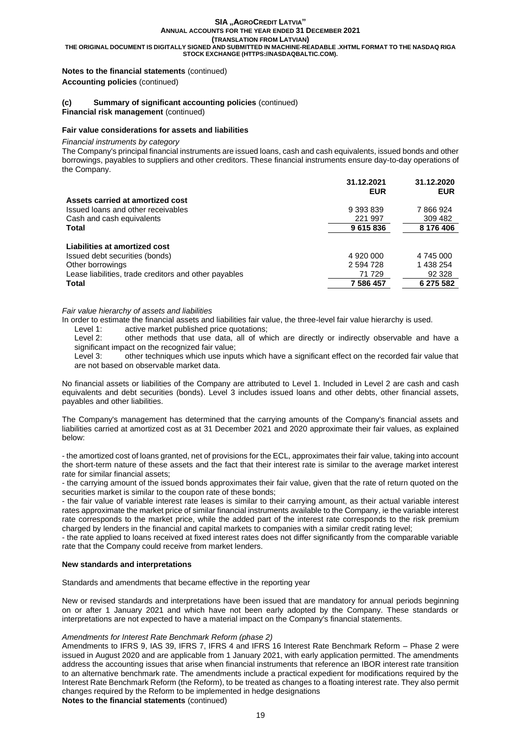**THE ORIGINAL DOCUMENT IS DIGITALLY SIGNED AND SUBMITTED IN MACHINE-READABLE .XHTML FORMAT TO THE NASDAQ RIGA STOCK EXCHANGE (HTTPS://NASDAQBALTIC.COM).**

## **Notes to the financial statements** (continued) **Accounting policies** (continued)

## **(c) Summary of significant accounting policies** (continued)

**Financial risk management** (continued)

#### **Fair value considerations for assets and liabilities**

#### *Financial instruments by category*

The Company's principal financial instruments are issued loans, cash and cash equivalents, issued bonds and other borrowings, payables to suppliers and other creditors. These financial instruments ensure day-to-day operations of the Company.

|                                                       | 31.12.2021<br><b>EUR</b> | 31.12.2020<br><b>EUR</b> |
|-------------------------------------------------------|--------------------------|--------------------------|
| Assets carried at amortized cost                      |                          |                          |
| Issued loans and other receivables                    | 9 393 839                | 7866924                  |
| Cash and cash equivalents                             | 221 997                  | 309 482                  |
| Total                                                 | 9615836                  | 8 176 406                |
| Liabilities at amortized cost                         |                          |                          |
| Issued debt securities (bonds)                        | 4 920 000                | 4 745 000                |
| Other borrowings                                      | 2 594 728                | 1 438 254                |
| Lease liabilities, trade creditors and other payables | 71 729                   | 92 328                   |
| <b>Total</b>                                          | 7 586 457                | 6 275 582                |

## *Fair value hierarchy of assets and liabilities*

In order to estimate the financial assets and liabilities fair value, the three-level fair value hierarchy is used.

Level 1: active market published price quotations;

Level 2: other methods that use data, all of which are directly or indirectly observable and have a significant impact on the recognized fair value;

Level 3: other techniques which use inputs which have a significant effect on the recorded fair value that are not based on observable market data.

No financial assets or liabilities of the Company are attributed to Level 1. Included in Level 2 are cash and cash equivalents and debt securities (bonds). Level 3 includes issued loans and other debts, other financial assets, payables and other liabilities.

The Company's management has determined that the carrying amounts of the Company's financial assets and liabilities carried at amortized cost as at 31 December 2021 and 2020 approximate their fair values, as explained below:

- the amortized cost of loans granted, net of provisions for the ECL, approximates their fair value, taking into account the short-term nature of these assets and the fact that their interest rate is similar to the average market interest rate for similar financial assets;

- the carrying amount of the issued bonds approximates their fair value, given that the rate of return quoted on the securities market is similar to the coupon rate of these bonds;

- the fair value of variable interest rate leases is similar to their carrying amount, as their actual variable interest rates approximate the market price of similar financial instruments available to the Company, ie the variable interest rate corresponds to the market price, while the added part of the interest rate corresponds to the risk premium charged by lenders in the financial and capital markets to companies with a similar credit rating level;

- the rate applied to loans received at fixed interest rates does not differ significantly from the comparable variable rate that the Company could receive from market lenders.

### **New standards and interpretations**

Standards and amendments that became effective in the reporting year

New or revised standards and interpretations have been issued that are mandatory for annual periods beginning on or after 1 January 2021 and which have not been early adopted by the Company. These standards or interpretations are not expected to have a material impact on the Company's financial statements.

### *Amendments for Interest Rate Benchmark Reform (phase 2)*

Amendments to IFRS 9, IAS 39, IFRS 7, IFRS 4 and IFRS 16 Interest Rate Benchmark Reform – Phase 2 were issued in August 2020 and are applicable from 1 January 2021, with early application permitted. The amendments address the accounting issues that arise when financial instruments that reference an IBOR interest rate transition to an alternative benchmark rate. The amendments include a practical expedient for modifications required by the Interest Rate Benchmark Reform (the Reform), to be treated as changes to a floating interest rate. They also permit changes required by the Reform to be implemented in hedge designations **Notes to the financial statements** (continued)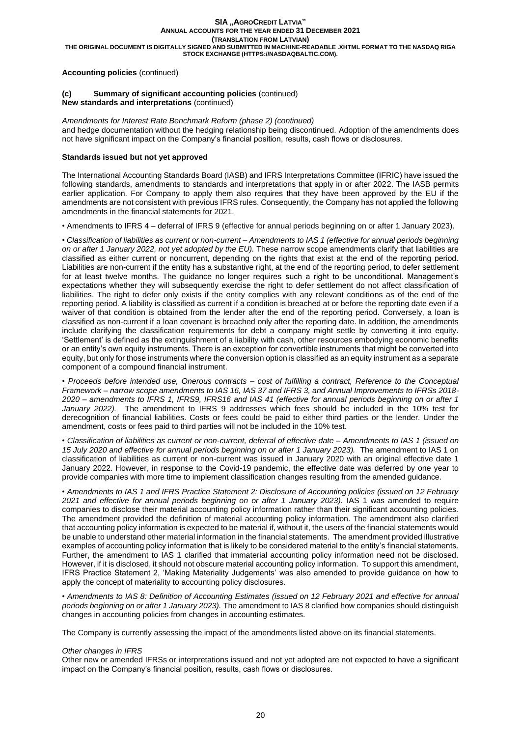## **Accounting policies** (continued)

## **(c) Summary of significant accounting policies** (continued)

**New standards and interpretations** (continued)

*Amendments for Interest Rate Benchmark Reform (phase 2) (continued)* and hedge documentation without the hedging relationship being discontinued. Adoption of the amendments does not have significant impact on the Company's financial position, results, cash flows or disclosures.

## **Standards issued but not yet approved**

The International Accounting Standards Board (IASB) and IFRS Interpretations Committee (IFRIC) have issued the following standards, amendments to standards and interpretations that apply in or after 2022. The IASB permits earlier application. For Company to apply them also requires that they have been approved by the EU if the amendments are not consistent with previous IFRS rules. Consequently, the Company has not applied the following amendments in the financial statements for 2021.

• Amendments to IFRS 4 – deferral of IFRS 9 (effective for annual periods beginning on or after 1 January 2023).

• *Classification of liabilities as current or non-current – Amendments to IAS 1 (effective for annual periods beginning on or after 1 January 2022, not yet adopted by the EU).* These narrow scope amendments clarify that liabilities are classified as either current or noncurrent, depending on the rights that exist at the end of the reporting period. Liabilities are non-current if the entity has a substantive right, at the end of the reporting period, to defer settlement for at least twelve months. The guidance no longer requires such a right to be unconditional. Management's expectations whether they will subsequently exercise the right to defer settlement do not affect classification of liabilities. The right to defer only exists if the entity complies with any relevant conditions as of the end of the reporting period. A liability is classified as current if a condition is breached at or before the reporting date even if a waiver of that condition is obtained from the lender after the end of the reporting period. Conversely, a loan is classified as non-current if a loan covenant is breached only after the reporting date. In addition, the amendments include clarifying the classification requirements for debt a company might settle by converting it into equity. 'Settlement' is defined as the extinguishment of a liability with cash, other resources embodying economic benefits or an entity's own equity instruments. There is an exception for convertible instruments that might be converted into equity, but only for those instruments where the conversion option is classified as an equity instrument as a separate component of a compound financial instrument.

• *Proceeds before intended use, Onerous contracts – cost of fulfilling a contract, Reference to the Conceptual Framework – narrow scope amendments to IAS 16, IAS 37 and IFRS 3, and Annual Improvements to IFRSs 2018- 2020 – amendments to IFRS 1, IFRS9, IFRS16 and IAS 41 (effective for annual periods beginning on or after 1 January 2022).* The amendment to IFRS 9 addresses which fees should be included in the 10% test for derecognition of financial liabilities. Costs or fees could be paid to either third parties or the lender. Under the amendment, costs or fees paid to third parties will not be included in the 10% test.

• *Classification of liabilities as current or non-current, deferral of effective date – Amendments to IAS 1 (issued on 15 July 2020 and effective for annual periods beginning on or after 1 January 2023).* The amendment to IAS 1 on classification of liabilities as current or non-current was issued in January 2020 with an original effective date 1 January 2022. However, in response to the Covid-19 pandemic, the effective date was deferred by one year to provide companies with more time to implement classification changes resulting from the amended guidance.

• *Amendments to IAS 1 and IFRS Practice Statement 2: Disclosure of Accounting policies (issued on 12 February 2021 and effective for annual periods beginning on or after 1 January 2023).* IAS 1 was amended to require companies to disclose their material accounting policy information rather than their significant accounting policies. The amendment provided the definition of material accounting policy information. The amendment also clarified that accounting policy information is expected to be material if, without it, the users of the financial statements would be unable to understand other material information in the financial statements. The amendment provided illustrative examples of accounting policy information that is likely to be considered material to the entity's financial statements. Further, the amendment to IAS 1 clarified that immaterial accounting policy information need not be disclosed. However, if it is disclosed, it should not obscure material accounting policy information. To support this amendment, IFRS Practice Statement 2, 'Making Materiality Judgements' was also amended to provide guidance on how to apply the concept of materiality to accounting policy disclosures.

• *Amendments to IAS 8: Definition of Accounting Estimates (issued on 12 February 2021 and effective for annual periods beginning on or after 1 January 2023).* The amendment to IAS 8 clarified how companies should distinguish changes in accounting policies from changes in accounting estimates.

The Company is currently assessing the impact of the amendments listed above on its financial statements.

## *Other changes in IFRS*

Other new or amended IFRSs or interpretations issued and not yet adopted are not expected to have a significant impact on the Company's financial position, results, cash flows or disclosures.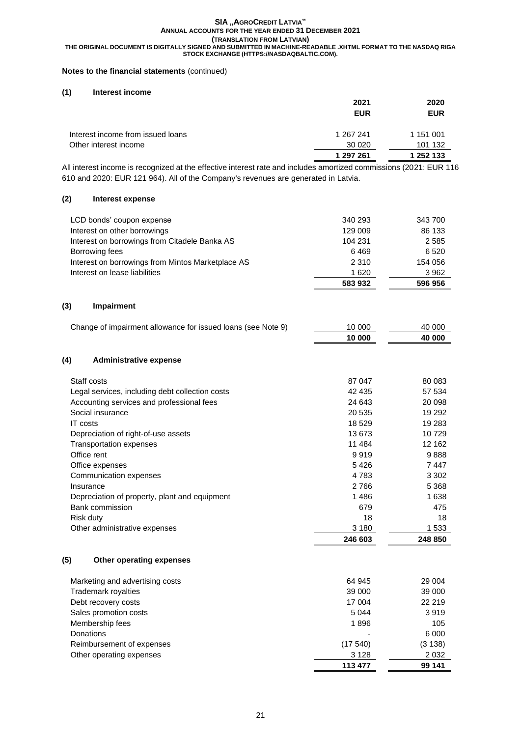## **Notes to the financial statements** (continued)

## **(1) Interest income**

|                                   | 2021       | 2020       |
|-----------------------------------|------------|------------|
|                                   | <b>EUR</b> | <b>EUR</b> |
| Interest income from issued loans | 1 267 241  | 1 151 001  |
| Other interest income             | 30 0 20    | 101 132    |
|                                   | 1 297 261  | 1 252 133  |

All interest income is recognized at the effective interest rate and includes amortized commissions (2021: EUR 116 610 and 2020: EUR 121 964). All of the Company's revenues are generated in Latvia.

## **(2) Interest expense**

| LCD bonds' coupon expense                         | 340 293 | 343 700 |
|---------------------------------------------------|---------|---------|
| Interest on other borrowings                      | 129 009 | 86 133  |
| Interest on borrowings from Citadele Banka AS     | 104 231 | 2 5 8 5 |
| Borrowing fees                                    | 6469    | 6 5 2 0 |
| Interest on borrowings from Mintos Marketplace AS | 2 3 1 0 | 154 056 |
| Interest on lease liabilities                     | 1 620   | 3962    |
|                                                   | 583 932 | 596 956 |

## **(3) Impairment**

| Change of impairment allowance for issued loans (see Note 9) | 10 000 | 40 000 |
|--------------------------------------------------------------|--------|--------|
|                                                              | 10 000 | 40 000 |

## **(4) Administrative expense**

| Staff costs                                     | 87 047  | 80 083  |
|-------------------------------------------------|---------|---------|
| Legal services, including debt collection costs | 42 435  | 57 534  |
| Accounting services and professional fees       | 24 643  | 20 098  |
| Social insurance                                | 20 535  | 19 29 2 |
| IT costs                                        | 18 529  | 19 283  |
| Depreciation of right-of-use assets             | 13673   | 10729   |
| <b>Transportation expenses</b>                  | 11 484  | 12 162  |
| Office rent                                     | 9919    | 9888    |
| Office expenses                                 | 5426    | 7447    |
| Communication expenses                          | 4 783   | 3 3 0 2 |
| Insurance                                       | 2766    | 5 3 6 8 |
| Depreciation of property, plant and equipment   | 1486    | 1 638   |
| Bank commission                                 | 679     | 475     |
| Risk duty                                       | 18      | 18      |
| Other administrative expenses                   | 3 1 8 0 | 1 533   |
|                                                 | 246 603 | 248 850 |

## **(5) Other operating expenses**

| Marketing and advertising costs | 64 945  | 29 004  |
|---------------------------------|---------|---------|
| Trademark royalties             | 39 000  | 39 000  |
| Debt recovery costs             | 17 004  | 22 219  |
| Sales promotion costs           | 5 0 4 4 | 3919    |
| Membership fees                 | 1896    | 105     |
| Donations                       |         | 6 0 0 0 |
| Reimbursement of expenses       | (17540) | (3138)  |
| Other operating expenses        | 3 1 2 8 | 2 0 3 2 |
|                                 | 113 477 | 99 141  |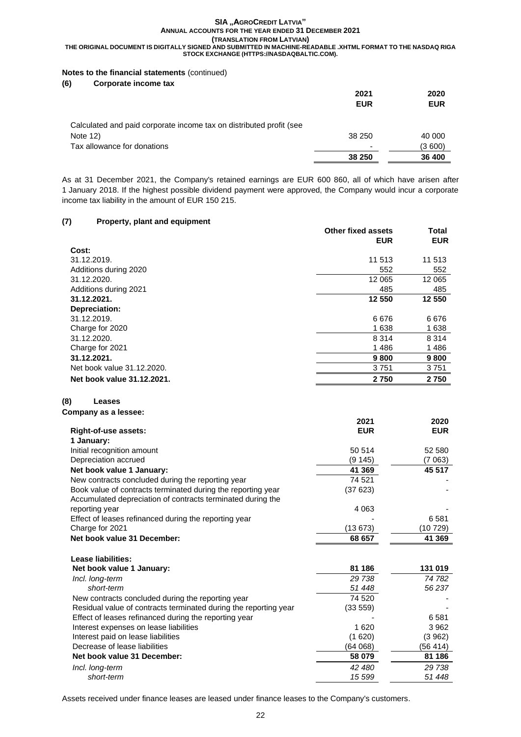## **Notes to the financial statements** (continued)

|                                                                     | 2021<br><b>EUR</b> | 2020<br><b>EUR</b> |
|---------------------------------------------------------------------|--------------------|--------------------|
| Calculated and paid corporate income tax on distributed profit (see |                    |                    |
| Note $12$ )                                                         | 38 250             | 40 000             |
| Tax allowance for donations                                         |                    | (3 600)            |
|                                                                     | 38 250             | 36 400             |

As at 31 December 2021, the Company's retained earnings are EUR 600 860, all of which have arisen after 1 January 2018. If the highest possible dividend payment were approved, the Company would incur a corporate income tax liability in the amount of EUR 150 215.

## **(7) Property, plant and equipment**

| $1.00011$ , piùint and oquipmont | Other fixed assets<br><b>EUR</b> | Total<br><b>EUR</b> |
|----------------------------------|----------------------------------|---------------------|
| Cost:                            |                                  |                     |
| 31.12.2019.                      | 11 513                           | 11 513              |
| Additions during 2020            | 552                              | 552                 |
| 31.12.2020.                      | 12 065                           | 12 065              |
| Additions during 2021            | 485                              | 485                 |
| 31.12.2021.                      | 12 550                           | 12 550              |
| Depreciation:                    |                                  |                     |
| 31.12.2019.                      | 6676                             | 6676                |
| Charge for 2020                  | 1638                             | 1638                |
| 31.12.2020.                      | 8 3 1 4                          | 8 3 1 4             |
| Charge for 2021                  | 1486                             | 1486                |
| 31.12.2021.                      | 9800                             | 9800                |
| Net book value 31.12.2020.       | 3751                             | 3751                |
| Net book value 31.12.2021.       | 2750                             | 2750                |

## **(8) Leases**

## **Company as a lessee:**

|                                                              | 2021       | 2020       |
|--------------------------------------------------------------|------------|------------|
| <b>Right-of-use assets:</b>                                  | <b>EUR</b> | <b>EUR</b> |
| 1 January:                                                   |            |            |
| Initial recognition amount                                   | 50 514     | 52 580     |
| Depreciation accrued                                         | (9 145)    | (7 063)    |
| Net book value 1 January:                                    | 41 369     | 45 517     |
| New contracts concluded during the reporting year            | 74 521     |            |
| Book value of contracts terminated during the reporting year | (37 623)   |            |
| Accumulated depreciation of contracts terminated during the  |            |            |
| reporting year                                               | 4 0 6 3    |            |
| Effect of leases refinanced during the reporting year        |            | 6581       |
| Charge for 2021                                              | (13 673)   | (10 729)   |
| Net book value 31 December:                                  | 68 657     | 41 369     |

## **Lease liabilities:**

| Net book value 1 January:                                        | 81 186   | 131 019  |
|------------------------------------------------------------------|----------|----------|
| Incl. long-term                                                  | 29 738   | 74 782   |
| short-term                                                       | 51 448   | 56237    |
| New contracts concluded during the reporting year                | 74 520   |          |
| Residual value of contracts terminated during the reporting year | (33 559) |          |
| Effect of leases refinanced during the reporting year            |          | 6581     |
| Interest expenses on lease liabilities                           | 1620     | 3962     |
| Interest paid on lease liabilities                               | (1620)   | (3962)   |
| Decrease of lease liabilities                                    | (64 068) | (56 414) |
| Net book value 31 December:                                      | 58 079   | 81 186   |
| Incl. long-term                                                  | 42 480   | 29 738   |
| short-term                                                       | 15 599   | 51 448   |

Assets received under finance leases are leased under finance leases to the Company's customers.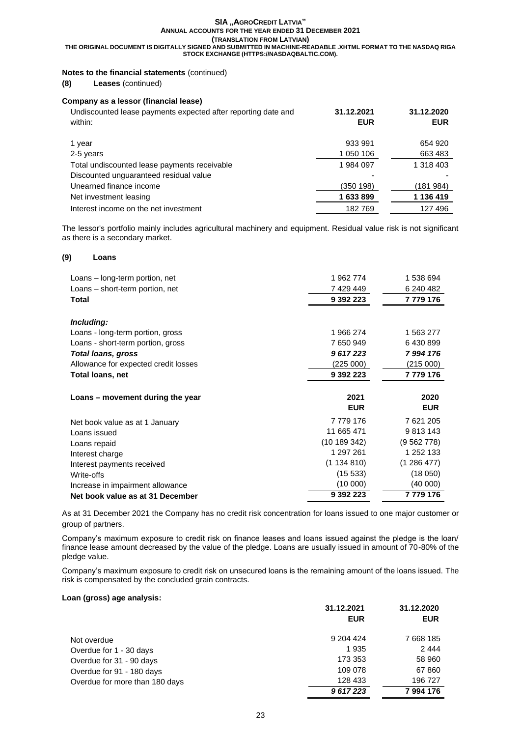**THE ORIGINAL DOCUMENT IS DIGITALLY SIGNED AND SUBMITTED IN MACHINE-READABLE .XHTML FORMAT TO THE NASDAQ RIGA STOCK EXCHANGE (HTTPS://NASDAQBALTIC.COM).**

## **Notes to the financial statements** (continued)

**(8) Leases** (continued)

## **Company as a lessor (financial lease)**

| Undiscounted lease payments expected after reporting date and | 31.12.2021 | 31.12.2020 |
|---------------------------------------------------------------|------------|------------|
| within:                                                       | <b>EUR</b> | <b>EUR</b> |
|                                                               |            |            |
| 1 year                                                        | 933 991    | 654 920    |
| 2-5 years                                                     | 1 050 106  | 663 483    |
| Total undiscounted lease payments receivable                  | 1984097    | 1 318 403  |
| Discounted unguaranteed residual value                        |            |            |
| Unearned finance income                                       | (350 198)  | (181984)   |
| Net investment leasing                                        | 1633899    | 1 136 419  |
| Interest income on the net investment                         | 182769     | 127496     |

The lessor's portfolio mainly includes agricultural machinery and equipment. Residual value risk is not significant as there is a secondary market.

## **(9) Loans**

| Loans – long-term portion, net       | 1962774     | 1 538 694  |
|--------------------------------------|-------------|------------|
| Loans – short-term portion, net      | 7429449     | 6 240 482  |
| Total                                | 9 392 223   | 7 779 176  |
|                                      |             |            |
| Including:                           |             |            |
| Loans - long-term portion, gross     | 1966274     | 1 563 277  |
| Loans - short-term portion, gross    | 7650949     | 6430899    |
| <b>Total loans, gross</b>            | 9617223     | 7994176    |
| Allowance for expected credit losses | (225 000)   | (215000)   |
| Total loans, net                     | 9 392 223   | 7779176    |
|                                      |             |            |
| Loans – movement during the year     | 2021        | 2020       |
|                                      | <b>EUR</b>  | <b>EUR</b> |
| Net book value as at 1 January       | 7779176     | 7 621 205  |
| Loans issued                         | 11 665 471  | 9813143    |
| Loans repaid                         | (10189342)  | (9562778)  |
| Interest charge                      | 1 297 261   | 1 252 133  |
| Interest payments received           | (1 134 810) | (1286477)  |
| Write-offs                           | (15.533)    | (18050)    |
| Increase in impairment allowance     | (10000)     | (40000)    |
| Net book value as at 31 December     | 9 392 223   | 7779176    |

As at 31 December 2021 the Company has no credit risk concentration for loans issued to one major customer or group of partners.

Company's maximum exposure to credit risk on finance leases and loans issued against the pledge is the loan/ finance lease amount decreased by the value of the pledge. Loans are usually issued in amount of 70-80% of the pledge value.

Company's maximum exposure to credit risk on unsecured loans is the remaining amount of the loans issued. The risk is compensated by the concluded grain contracts.

## **Loan (gross) age analysis:**

|                                | 31.12.2021 | 31.12.2020 |
|--------------------------------|------------|------------|
|                                | <b>EUR</b> | <b>EUR</b> |
| Not overdue                    | 9 204 4 24 | 7 668 185  |
| Overdue for 1 - 30 days        | 1935       | 2444       |
| Overdue for 31 - 90 days       | 173 353    | 58 960     |
| Overdue for 91 - 180 days      | 109 078    | 67 860     |
| Overdue for more than 180 days | 128 433    | 196 727    |
|                                | 9617223    | 7994176    |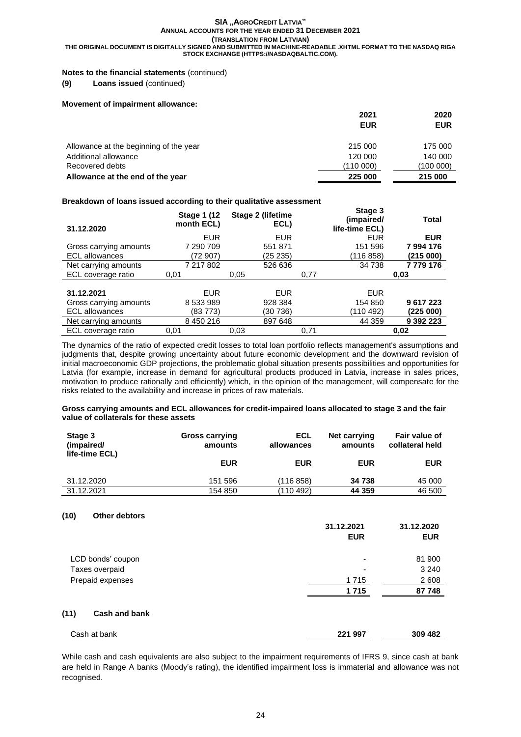## **Notes to the financial statements** (continued)

#### **(9) Loans issued** (continued)

#### **Movement of impairment allowance:**

|                                        | 2021       | 2020       |
|----------------------------------------|------------|------------|
|                                        | <b>EUR</b> | <b>EUR</b> |
|                                        |            |            |
| Allowance at the beginning of the year | 215 000    | 175 000    |
| Additional allowance                   | 120 000    | 140 000    |
| Recovered debts                        | (110000)   | (100 000)  |
| Allowance at the end of the year       | 225 000    | 215 000    |

### **Breakdown of loans issued according to their qualitative assessment**

| 31.12.2020             | <b>Stage 1 (12)</b><br>month ECL) | Stage 2 (lifetime<br>ECL) | Stage 3<br>(impaired/<br>life-time ECL) | <b>Total</b>  |
|------------------------|-----------------------------------|---------------------------|-----------------------------------------|---------------|
|                        | <b>EUR</b>                        | EUR                       | EUR                                     | <b>EUR</b>    |
| Gross carrying amounts | 7 290 709                         | 551871                    | 151 596                                 | 7994176       |
| <b>ECL allowances</b>  | (72 907)                          | (25 235)                  | (116 858)                               | (215000)      |
| Net carrying amounts   | 7 217 802                         | 526 636                   | 34 738                                  | 7779176       |
|                        |                                   |                           |                                         |               |
| ECL coverage ratio     | 0,01                              | 0.05                      | 0,77                                    | 0,03          |
|                        |                                   |                           |                                         |               |
| 31.12.2021             | <b>EUR</b>                        | EUR                       | <b>EUR</b>                              |               |
| Gross carrying amounts | 8 533 989                         | 928 384                   | 154 850                                 | 9617223       |
| <b>ECL allowances</b>  | (83 773)                          | (30 736)                  | (110 492)                               | (225000)      |
| Net carrying amounts   | 8 450 216                         | 897 648                   | 44 359                                  | 9 3 9 2 2 2 3 |

The dynamics of the ratio of expected credit losses to total loan portfolio reflects management's assumptions and judgments that, despite growing uncertainty about future economic development and the downward revision of initial macroeconomic GDP projections, the problematic global situation presents possibilities and opportunities for Latvia (for example, increase in demand for agricultural products produced in Latvia, increase in sales prices, motivation to produce rationally and efficiently) which, in the opinion of the management, will compensate for the risks related to the availability and increase in prices of raw materials.

#### **Gross carrying amounts and ECL allowances for credit-impaired loans allocated to stage 3 and the fair value of collaterals for these assets**

| Stage 3<br>(impaired/<br>life-time ECL) | <b>Gross carrying</b><br>amounts | ECL<br>allowances | Net carrying<br>amounts | Fair value of<br>collateral held |
|-----------------------------------------|----------------------------------|-------------------|-------------------------|----------------------------------|
|                                         | <b>EUR</b>                       | <b>EUR</b>        | <b>EUR</b>              | <b>EUR</b>                       |
| 31.12.2020                              | 151 596                          | (116 858)         | 34 738                  | 45 000                           |
| 31.12.2021                              | 154 850                          | (110 492)         | 44 359                  | 46 500                           |

### **(10) Other debtors**

|                       | 31.12.2021<br><b>EUR</b> | 31.12.2020<br><b>EUR</b> |
|-----------------------|--------------------------|--------------------------|
| LCD bonds' coupon     | $\overline{\phantom{0}}$ | 81 900                   |
| Taxes overpaid        |                          | 3 2 4 0                  |
| Prepaid expenses      | 1 7 1 5                  | 2 608                    |
|                       | 1715                     | 87 748                   |
| (11)<br>Cash and bank |                          |                          |
| Cash at bank          | 221 997                  | 309 482                  |

While cash and cash equivalents are also subject to the impairment requirements of IFRS 9, since cash at bank are held in Range A banks (Moody's rating), the identified impairment loss is immaterial and allowance was not recognised.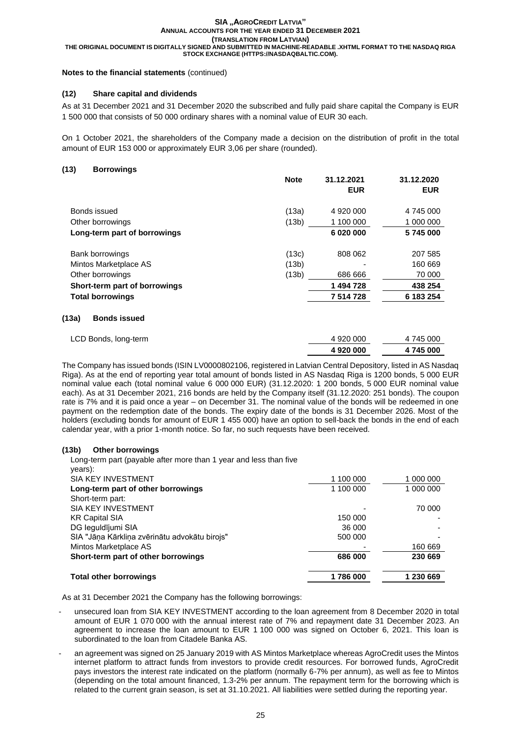## **Notes to the financial statements** (continued)

## **(12) Share capital and dividends**

As at 31 December 2021 and 31 December 2020 the subscribed and fully paid share capital the Company is EUR 1 500 000 that consists of 50 000 ordinary shares with a nominal value of EUR 30 each.

On 1 October 2021, the shareholders of the Company made a decision on the distribution of profit in the total amount of EUR 153 000 or approximately EUR 3,06 per share (rounded).

**Note 31.12.2021 31.12.2020**

## **(13) Borrowings**

|                               |       | <b>EUR</b> | <b>EUR</b> |
|-------------------------------|-------|------------|------------|
| Bonds issued                  | (13a) | 4 920 000  | 4 745 000  |
| Other borrowings              | (13b) | 1 100 000  | 1 000 000  |
| Long-term part of borrowings  |       | 6 020 000  | 5745000    |
| Bank borrowings               | (13c) | 808 062    | 207 585    |
| Mintos Marketplace AS         | (13b) |            | 160 669    |
| Other borrowings              | (13b) | 686 666    | 70 000     |
| Short-term part of borrowings |       | 1 494 728  | 438 254    |
| <b>Total borrowings</b>       |       | 7 514 728  | 6 183 254  |

## **(13a) Bonds issued**

| LCD Bonds, long-term | 4 920 000 | 4 745 000 |
|----------------------|-----------|-----------|
|                      | 4920000   | 4 745 000 |

The Company has issued bonds (ISIN LV0000802106, registered in Latvian Central Depository, listed in AS Nasdaq Riga). As at the end of reporting year total amount of bonds listed in AS Nasdaq Riga is 1200 bonds, 5 000 EUR nominal value each (total nominal value 6 000 000 EUR) (31.12.2020: 1 200 bonds, 5 000 EUR nominal value each). As at 31 December 2021, 216 bonds are held by the Company itself (31.12.2020: 251 bonds). The coupon rate is 7% and it is paid once a year – on December 31. The nominal value of the bonds will be redeemed in one payment on the redemption date of the bonds. The expiry date of the bonds is 31 December 2026. Most of the holders (excluding bonds for amount of EUR 1 455 000) have an option to sell-back the bonds in the end of each calendar year, with a prior 1-month notice. So far, no such requests have been received.

## **(13b) Other borrowings**

Long-term part (payable after more than 1 year and less than five

| <b>Total other borrowings</b>                 | 1786000   | 1 230 669 |
|-----------------------------------------------|-----------|-----------|
| Short-term part of other borrowings           | 686 000   | 230 669   |
| Mintos Marketplace AS                         |           | 160 669   |
| SIA "Jāņa Kārkliņa zvērinātu advokātu birojs" | 500 000   |           |
| DG leguldījumi SIA                            | 36 000    |           |
| KR Capital SIA                                | 150 000   |           |
| SIA KEY INVESTMENT                            |           | 70 000    |
| Short-term part:                              |           |           |
| Long-term part of other borrowings            | 1 100 000 | 1 000 000 |
| SIA KEY INVESTMENT                            | 1 100 000 | 1 000 000 |
| years):                                       |           |           |

As at 31 December 2021 the Company has the following borrowings:

- unsecured loan from SIA KEY INVESTMENT according to the loan agreement from 8 December 2020 in total amount of EUR 1 070 000 with the annual interest rate of 7% and repayment date 31 December 2023. An agreement to increase the loan amount to EUR 1 100 000 was signed on October 6, 2021. This loan is subordinated to the loan from Citadele Banka AS.
- an agreement was signed on 25 January 2019 with AS Mintos Marketplace whereas AgroCredit uses the Mintos internet platform to attract funds from investors to provide credit resources. For borrowed funds, AgroCredit pays investors the interest rate indicated on the platform (normally 6-7% per annum), as well as fee to Mintos (depending on the total amount financed, 1.3-2% per annum. The repayment term for the borrowing which is related to the current grain season, is set at 31.10.2021. All liabilities were settled during the reporting year.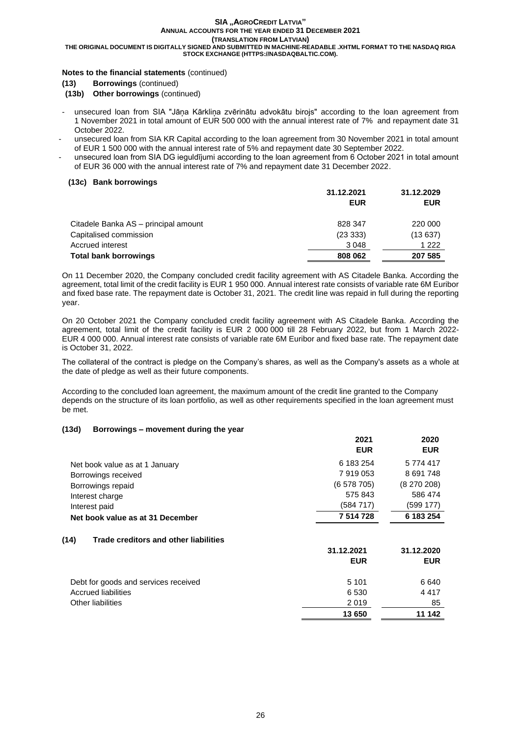**THE ORIGINAL DOCUMENT IS DIGITALLY SIGNED AND SUBMITTED IN MACHINE-READABLE .XHTML FORMAT TO THE NASDAQ RIGA STOCK EXCHANGE (HTTPS://NASDAQBALTIC.COM).**

## **Notes to the financial statements** (continued)

**(13) Borrowings** (continued)

**(13b) Other borrowings** (continued)

- unsecured loan from SIA "Jāņa Kārkliņa zvērinātu advokātu birojs" according to the loan agreement from 1 November 2021 in total amount of EUR 500 000 with the annual interest rate of 7% and repayment date 31 October 2022.
- unsecured loan from SIA KR Capital according to the loan agreement from 30 November 2021 in total amount of EUR 1 500 000 with the annual interest rate of 5% and repayment date 30 September 2022.
- unsecured loan from SIA DG ieguldījumi according to the loan agreement from 6 October 2021 in total amount of EUR 36 000 with the annual interest rate of 7% and repayment date 31 December 2022.

### **(13c) Bank borrowings**

|                                      | 31.12.2021 | 31.12.2029 |  |
|--------------------------------------|------------|------------|--|
|                                      | <b>EUR</b> | <b>EUR</b> |  |
| Citadele Banka AS – principal amount | 828 347    | 220 000    |  |
| Capitalised commission               | (2333)     | (13637)    |  |
| Accrued interest                     | 3 0 4 8    | 1 2 2 2    |  |
| Total bank borrowings                | 808 062    | 207 585    |  |

On 11 December 2020, the Company concluded credit facility agreement with AS Citadele Banka. According the agreement, total limit of the credit facility is EUR 1 950 000. Annual interest rate consists of variable rate 6M Euribor and fixed base rate. The repayment date is October 31, 2021. The credit line was repaid in full during the reporting year.

On 20 October 2021 the Company concluded credit facility agreement with AS Citadele Banka. According the agreement, total limit of the credit facility is EUR 2 000 000 till 28 February 2022, but from 1 March 2022- EUR 4 000 000. Annual interest rate consists of variable rate 6M Euribor and fixed base rate. The repayment date is October 31, 2022.

The collateral of the contract is pledge on the Company's shares, as well as the Company's assets as a whole at the date of pledge as well as their future components.

According to the concluded loan agreement, the maximum amount of the credit line granted to the Company depends on the structure of its loan portfolio, as well as other requirements specified in the loan agreement must be met.

## **(13d) Borrowings – movement during the year**

|                                               | 2021       | 2020       |
|-----------------------------------------------|------------|------------|
|                                               | <b>EUR</b> | <b>EUR</b> |
| Net book value as at 1 January                | 6 183 254  | 5 774 417  |
| Borrowings received                           | 7919053    | 8 691 748  |
| Borrowings repaid                             | (6578705)  | (8270208)  |
| Interest charge                               | 575 843    | 586 474    |
| Interest paid                                 | (584 717)  | (599 177)  |
| Net book value as at 31 December              | 7 514 728  | 6 183 254  |
| (14)<br>Trade creditors and other liabilities |            |            |
|                                               | 31.12.2021 | 31.12.2020 |
|                                               | <b>EUR</b> | <b>EUR</b> |
| Debt for goods and services received          | 5 1 0 1    | 6 640      |
| <b>Accrued liabilities</b>                    | 6 5 3 0    | 4 4 1 7    |
| <b>Other liabilities</b>                      | 2019       | 85         |
|                                               | 13 650     | 11 142     |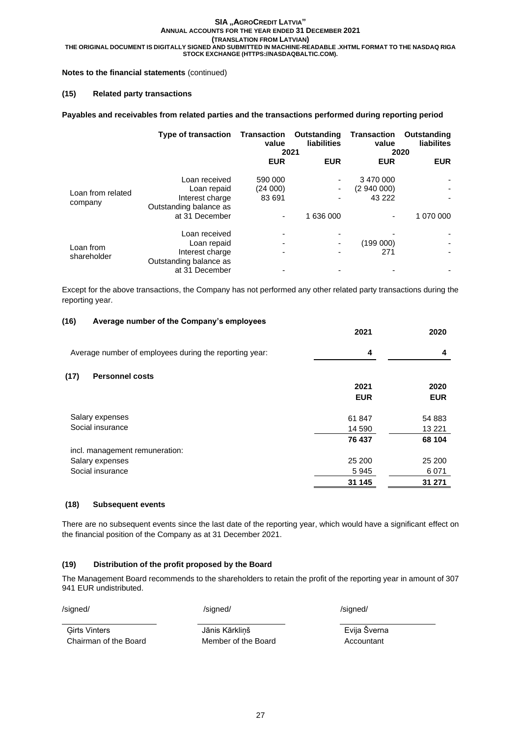## **Notes to the financial statements** (continued)

## **(15) Related party transactions**

## **Payables and receivables from related parties and the transactions performed during reporting period**

|                              | Type of transaction Transaction                                                             | value<br>2021                 | Outstanding<br><b>liabilities</b> | Transaction<br>value             | Outstanding<br><b>liabilites</b><br>2020 |
|------------------------------|---------------------------------------------------------------------------------------------|-------------------------------|-----------------------------------|----------------------------------|------------------------------------------|
|                              |                                                                                             | <b>EUR</b>                    | <b>EUR</b>                        | <b>EUR</b>                       | <b>EUR</b>                               |
| Loan from related<br>company | Loan received<br>Loan repaid<br>Interest charge<br>Outstanding balance as<br>at 31 December | 590 000<br>(24 000)<br>83 691 | ٠<br>٠<br>1 636 000               | 3 470 000<br>(294000)<br>43 2 22 | 1 070 000                                |
| Loan from<br>shareholder     | Loan received<br>Loan repaid<br>Interest charge<br>Outstanding balance as<br>at 31 December |                               |                                   | (199000)<br>271                  |                                          |

Except for the above transactions, the Company has not performed any other related party transactions during the reporting year.

## **(16) Average number of the Company's employees**

|                                                        | ---        | ---        |
|--------------------------------------------------------|------------|------------|
| Average number of employees during the reporting year: | 4          | 4          |
| (17)<br><b>Personnel costs</b>                         |            |            |
|                                                        | 2021       | 2020       |
|                                                        | <b>EUR</b> | <b>EUR</b> |
| Salary expenses                                        | 61847      | 54 883     |
| Social insurance                                       | 14 590     | 13 2 21    |
|                                                        | 76 437     | 68 104     |
| incl. management remuneration:                         |            |            |
| Salary expenses                                        | 25 200     | 25 200     |
| Social insurance                                       | 5945       | 6071       |
|                                                        | 31 145     | 31 271     |
|                                                        |            |            |

## **(18) Subsequent events**

There are no subsequent events since the last date of the reporting year, which would have a significant effect on the financial position of the Company as at 31 December 2021.

## **(19) Distribution of the profit proposed by the Board**

The Management Board recommends to the shareholders to retain the profit of the reporting year in amount of 307 941 EUR undistributed.

/signed/ /signed/ /signed/

Chairman of the Board Member of the Board Accountant

Ģirts Vinters Jānis Kārkliņš Evija Šverna

**2021 2020**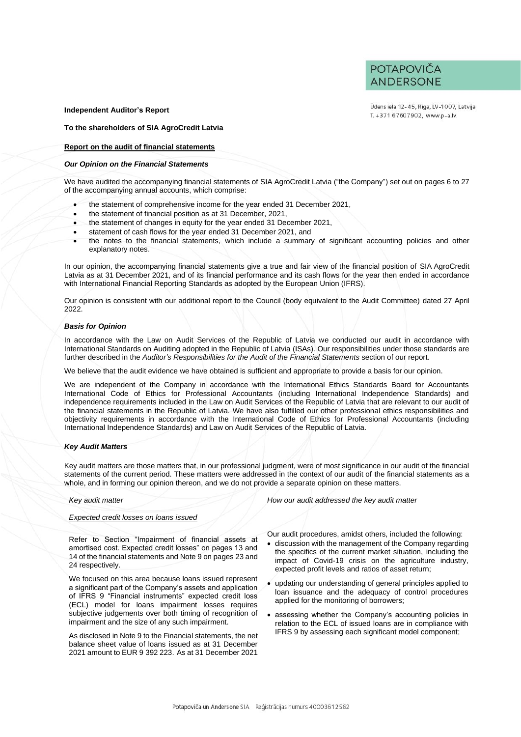POTAPOVIČA **ANDERSONE** 

#### **Independent Auditor's Report**

**To the shareholders of SIA AgroCredit Latvia**

#### **Report on the audit of financial statements**

#### *Our Opinion on the Financial Statements*

We have audited the accompanying financial statements of SIA AgroCredit Latvia ("the Company") set out on pages 6 to 27 of the accompanying annual accounts, which comprise:

- the statement of comprehensive income for the year ended 31 December 2021,
- the statement of financial position as at 31 December, 2021,
- the statement of changes in equity for the year ended 31 December 2021,
- statement of cash flows for the year ended 31 December 2021, and
- the notes to the financial statements, which include a summary of significant accounting policies and other explanatory notes.

In our opinion, the accompanying financial statements give a true and fair view of the financial position of SIA AgroCredit Latvia as at 31 December 2021, and of its financial performance and its cash flows for the year then ended in accordance with International Financial Reporting Standards as adopted by the European Union (IFRS).

Our opinion is consistent with our additional report to the Council (body equivalent to the Audit Committee) dated 27 April 2022.

#### *Basis for Opinion*

In accordance with the Law on Audit Services of the Republic of Latvia we conducted our audit in accordance with International Standards on Auditing adopted in the Republic of Latvia (ISAs). Our responsibilities under those standards are further described in the *Auditor's Responsibilities for the Audit of the Financial Statements* section of our report.

We believe that the audit evidence we have obtained is sufficient and appropriate to provide a basis for our opinion.

We are independent of the Company in accordance with the International Ethics Standards Board for Accountants International Code of Ethics for Professional Accountants (including International Independence Standards) and independence requirements included in the Law on Audit Services of the Republic of Latvia that are relevant to our audit of the financial statements in the Republic of Latvia. We have also fulfilled our other professional ethics responsibilities and objectivity requirements in accordance with the International Code of Ethics for Professional Accountants (including International Independence Standards) and Law on Audit Services of the Republic of Latvia.

#### *Key Audit Matters*

Key audit matters are those matters that, in our professional judgment, were of most significance in our audit of the financial statements of the current period. These matters were addressed in the context of our audit of the financial statements as a whole, and in forming our opinion thereon, and we do not provide a separate opinion on these matters.

#### *Expected credit losses on loans issued*

Refer to Section "Impairment of financial assets at amortised cost. Expected credit losses" on pages 13 and 14 of the financial statements and Note 9 on pages 23 and 24 respectively.

We focused on this area because loans issued represent a significant part of the Company's assets and application of IFRS 9 "Financial instruments" expected credit loss (ECL) model for loans impairment losses requires subjective judgements over both timing of recognition of impairment and the size of any such impairment.

As disclosed in Note 9 to the Financial statements, the net balance sheet value of loans issued as at 31 December 2021 amount to EUR 9 392 223. As at 31 December 2021

*Key audit matter How our audit addressed the key audit matter*

Our audit procedures, amidst others, included the following:

- discussion with the management of the Company regarding the specifics of the current market situation, including the impact of Covid-19 crisis on the agriculture industry, expected profit levels and ratios of asset return;
- updating our understanding of general principles applied to loan issuance and the adequacy of control procedures applied for the monitoring of borrowers;
- assessing whether the Company's accounting policies in relation to the ECL of issued loans are in compliance with IFRS 9 by assessing each significant model component;

Ūdens iela 12-45, Rīga, LV-1007, Latvija T. +371 67607902, www.p-a.lv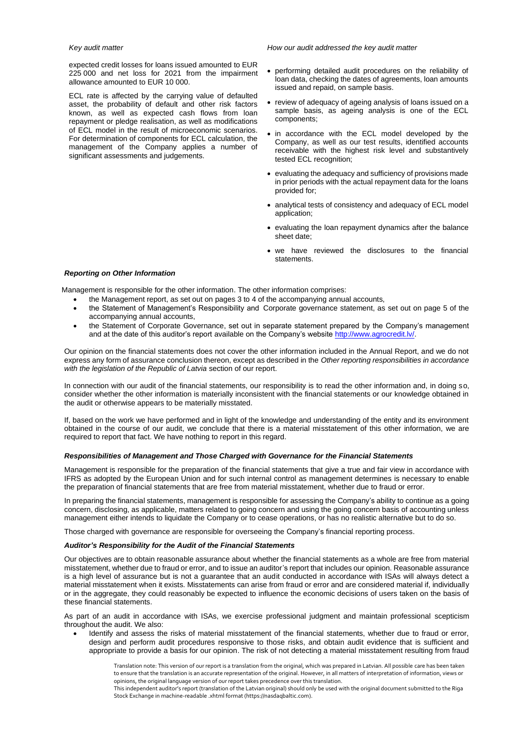expected credit losses for loans issued amounted to EUR 225 000 and net loss for 2021 from the impairment allowance amounted to EUR 10 000.

ECL rate is affected by the carrying value of defaulted asset, the probability of default and other risk factors known, as well as expected cash flows from loan repayment or pledge realisation, as well as modifications of ECL model in the result of microeconomic scenarios. For determination of components for ECL calculation, the management of the Company applies a number of significant assessments and judgements.

#### *Key audit matter How our audit addressed the key audit matter*

- performing detailed audit procedures on the reliability of loan data, checking the dates of agreements, loan amounts issued and repaid, on sample basis.
- review of adequacy of ageing analysis of loans issued on a sample basis, as ageing analysis is one of the ECL components;
- in accordance with the ECL model developed by the Company, as well as our test results, identified accounts receivable with the highest risk level and substantively tested ECL recognition;
- evaluating the adequacy and sufficiency of provisions made in prior periods with the actual repayment data for the loans provided for;
- analytical tests of consistency and adequacy of ECL model application;
- evaluating the loan repayment dynamics after the balance sheet date;
- we have reviewed the disclosures to the financial statements.

#### *Reporting on Other Information*

Management is responsible for the other information. The other information comprises:

- the Management report, as set out on pages 3 to 4 of the accompanying annual accounts,
- the Statement of Management's Responsibility and Corporate governance statement, as set out on page 5 of the accompanying annual accounts,
- the Statement of Corporate Governance, set out in separate statement prepared by the Company's management and at the date of this auditor's report available on the Company's website [http://www.agrocredit.lv/.](http://www.agrocredit.lv/)

Our opinion on the financial statements does not cover the other information included in the Annual Report, and we do not express any form of assurance conclusion thereon, except as described in the *Other reporting responsibilities in accordance with the legislation of the Republic of Latvia* section of our report.

In connection with our audit of the financial statements, our responsibility is to read the other information and, in doing so, consider whether the other information is materially inconsistent with the financial statements or our knowledge obtained in the audit or otherwise appears to be materially misstated.

If, based on the work we have performed and in light of the knowledge and understanding of the entity and its environment obtained in the course of our audit, we conclude that there is a material misstatement of this other information, we are required to report that fact. We have nothing to report in this regard.

#### *Responsibilities of Management and Those Charged with Governance for the Financial Statements*

Management is responsible for the preparation of the financial statements that give a true and fair view in accordance with IFRS as adopted by the European Union and for such internal control as management determines is necessary to enable the preparation of financial statements that are free from material misstatement, whether due to fraud or error.

In preparing the financial statements, management is responsible for assessing the Company's ability to continue as a going concern, disclosing, as applicable, matters related to going concern and using the going concern basis of accounting unless management either intends to liquidate the Company or to cease operations, or has no realistic alternative but to do so.

Those charged with governance are responsible for overseeing the Company's financial reporting process.

#### *Auditor's Responsibility for the Audit of the Financial Statements*

Our objectives are to obtain reasonable assurance about whether the financial statements as a whole are free from material misstatement, whether due to fraud or error, and to issue an auditor's report that includes our opinion. Reasonable assurance is a high level of assurance but is not a guarantee that an audit conducted in accordance with ISAs will always detect a material misstatement when it exists. Misstatements can arise from fraud or error and are considered material if, individually or in the aggregate, they could reasonably be expected to influence the economic decisions of users taken on the basis of these financial statements.

As part of an audit in accordance with ISAs, we exercise professional judgment and maintain professional scepticism throughout the audit. We also:

• Identify and assess the risks of material misstatement of the financial statements, whether due to fraud or error, design and perform audit procedures responsive to those risks, and obtain audit evidence that is sufficient and appropriate to provide a basis for our opinion. The risk of not detecting a material misstatement resulting from fraud

Translation note: This version of our report is a translation from the original, which was prepared in Latvian. All possible care has been taken to ensure that the translation is an accurate representation of the original. However, in all matters of interpretation of information, views or opinions, the original language version of our report takes precedence over this translation.

This independent auditor's report (translation of the Latvian original) should only be used with the original document submitted to the Riga Stock Exchange in machine-readable .xhtml format (https://nasdaqbaltic.com).